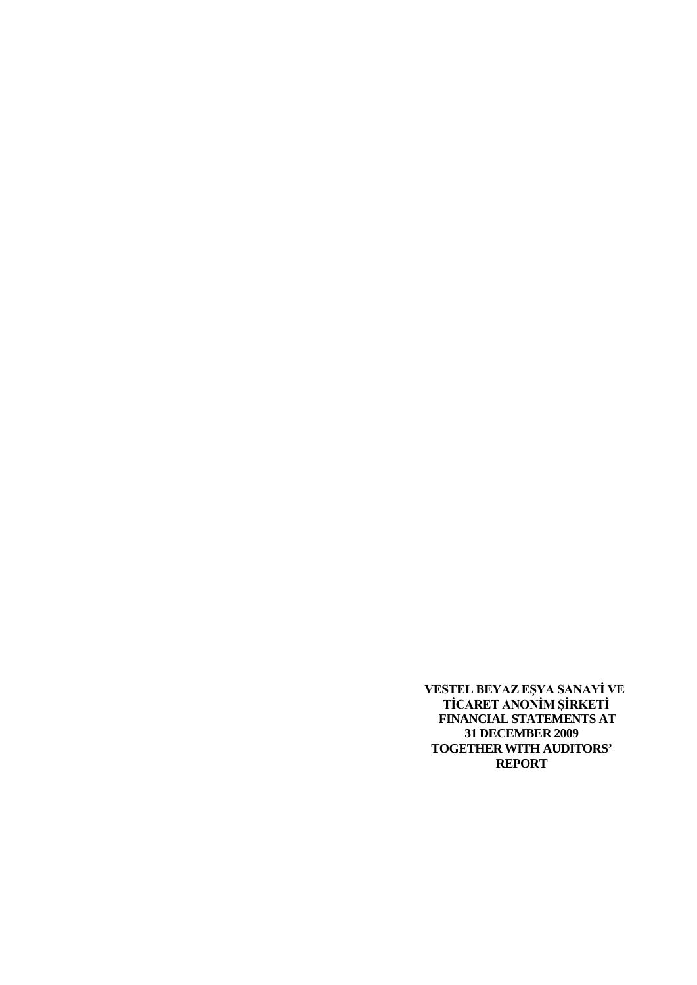**VESTEL BEYAZ EŞYA SANAYİ VE TİCARET ANONİM ŞİRKETİ FINANCIAL STATEMENTS AT 31 DECEMBER 2009 TOGETHER WITH AUDITORS' REPORT**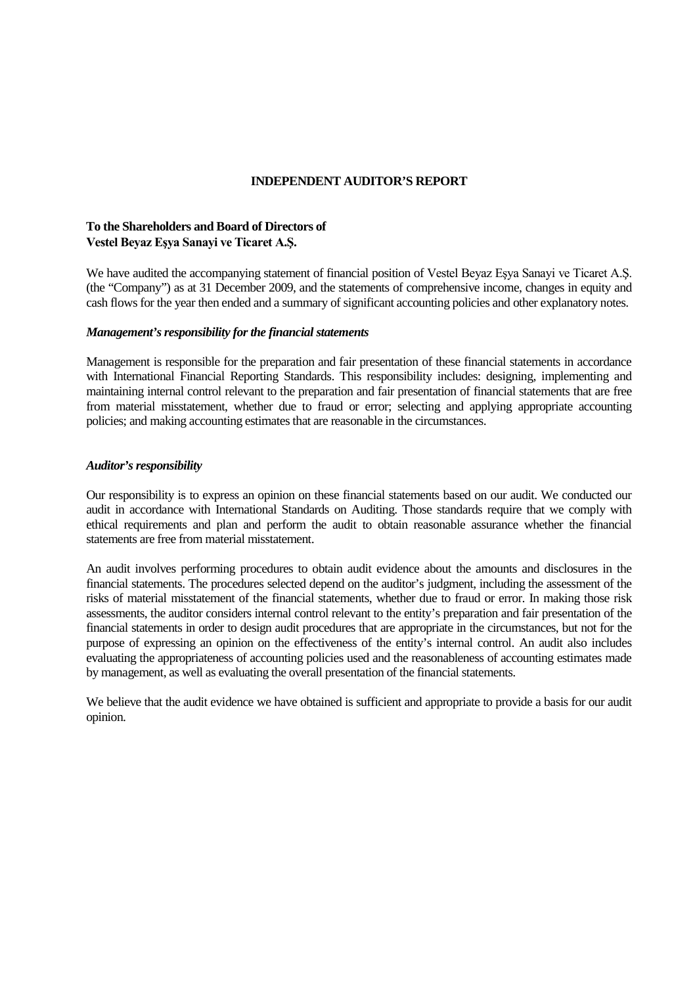# **INDEPENDENT AUDITOR'S REPORT**

# **To the Shareholders and Board of Directors of Vestel Beyaz Eşya Sanayi ve Ticaret A.Ş.**

We have audited the accompanying statement of financial position of Vestel Beyaz Esya Sanayi ve Ticaret A.Ş. (the "Company") as at 31 December 2009, and the statements of comprehensive income, changes in equity and cash flows for the year then ended and a summary of significant accounting policies and other explanatory notes.

### *Management's responsibility for the financial statements*

Management is responsible for the preparation and fair presentation of these financial statements in accordance with International Financial Reporting Standards. This responsibility includes: designing, implementing and maintaining internal control relevant to the preparation and fair presentation of financial statements that are free from material misstatement, whether due to fraud or error; selecting and applying appropriate accounting policies; and making accounting estimates that are reasonable in the circumstances.

## *Auditor's responsibility*

Our responsibility is to express an opinion on these financial statements based on our audit. We conducted our audit in accordance with International Standards on Auditing. Those standards require that we comply with ethical requirements and plan and perform the audit to obtain reasonable assurance whether the financial statements are free from material misstatement.

An audit involves performing procedures to obtain audit evidence about the amounts and disclosures in the financial statements. The procedures selected depend on the auditor's judgment, including the assessment of the risks of material misstatement of the financial statements, whether due to fraud or error. In making those risk assessments, the auditor considers internal control relevant to the entity's preparation and fair presentation of the financial statements in order to design audit procedures that are appropriate in the circumstances, but not for the purpose of expressing an opinion on the effectiveness of the entity's internal control. An audit also includes evaluating the appropriateness of accounting policies used and the reasonableness of accounting estimates made by management, as well as evaluating the overall presentation of the financial statements.

We believe that the audit evidence we have obtained is sufficient and appropriate to provide a basis for our audit opinion.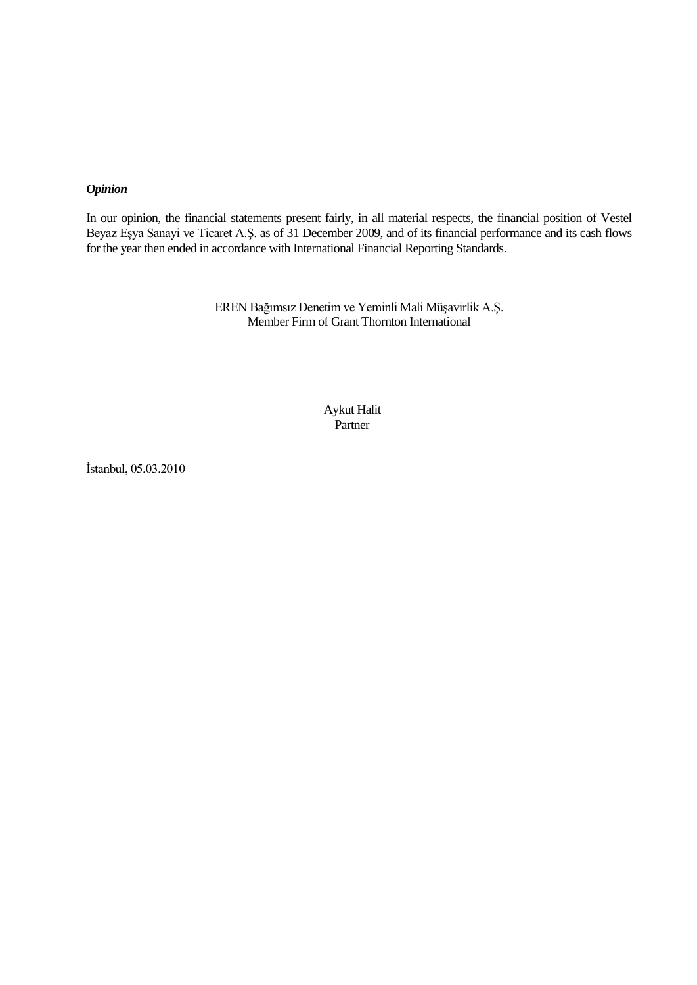# *Opinion*

In our opinion, the financial statements present fairly, in all material respects, the financial position of Vestel Beyaz Eşya Sanayi ve Ticaret A.Ş. as of 31 December 2009, and of its financial performance and its cash flows for the year then ended in accordance with International Financial Reporting Standards.

> EREN Bağımsız Denetim ve Yeminli Mali Müşavirlik A.Ş. Member Firm of Grant Thornton International

> > Aykut Halit Partner

İstanbul, 05.03.2010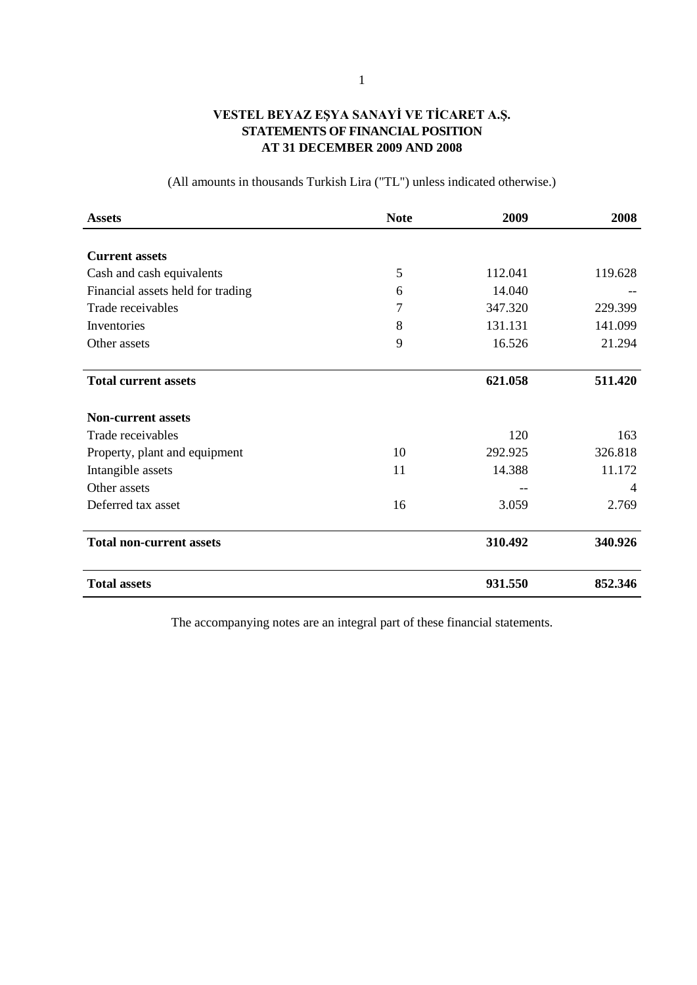# **VESTEL BEYAZ EŞYA SANAYİ VE TİCARET A.Ş. STATEMENTS OF FINANCIAL POSITION AT 31 DECEMBER 2009 AND 2008**

(All amounts in thousands Turkish Lira ("TL") unless indicated otherwise.)

| <b>Assets</b>                     | <b>Note</b> | 2009    | 2008           |
|-----------------------------------|-------------|---------|----------------|
|                                   |             |         |                |
| <b>Current assets</b>             |             |         |                |
| Cash and cash equivalents         | 5           | 112.041 | 119.628        |
| Financial assets held for trading | 6           | 14.040  |                |
| Trade receivables                 | 7           | 347.320 | 229.399        |
| Inventories                       | 8           | 131.131 | 141.099        |
| Other assets                      | 9           | 16.526  | 21.294         |
| <b>Total current assets</b>       |             | 621.058 | 511.420        |
| <b>Non-current assets</b>         |             |         |                |
| Trade receivables                 |             | 120     | 163            |
| Property, plant and equipment     | 10          | 292.925 | 326.818        |
| Intangible assets                 | 11          | 14.388  | 11.172         |
| Other assets                      |             |         | $\overline{4}$ |
| Deferred tax asset                | 16          | 3.059   | 2.769          |
| <b>Total non-current assets</b>   |             | 310.492 | 340.926        |
| <b>Total assets</b>               |             | 931.550 | 852.346        |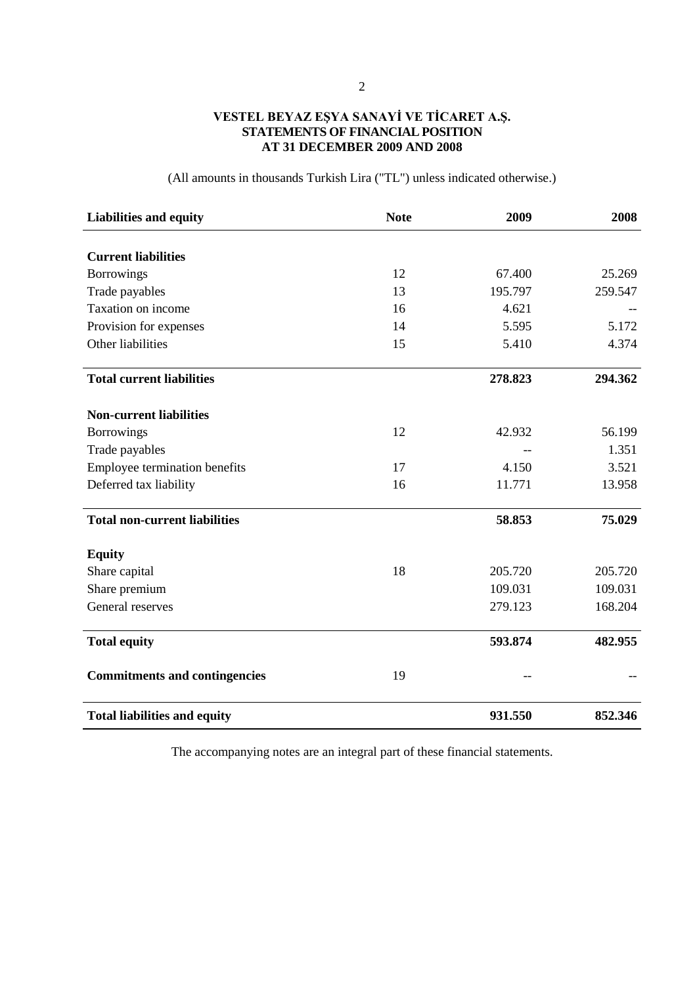# **VESTEL BEYAZ EŞYA SANAYİ VE TİCARET A.Ş. STATEMENTS OF FINANCIAL POSITION AT 31 DECEMBER 2009 AND 2008**

(All amounts in thousands Turkish Lira ("TL") unless indicated otherwise.)

| <b>Liabilities and equity</b>        | <b>Note</b> | 2009    | 2008    |
|--------------------------------------|-------------|---------|---------|
|                                      |             |         |         |
| <b>Current liabilities</b>           |             |         |         |
| <b>Borrowings</b>                    | 12          | 67.400  | 25.269  |
| Trade payables                       | 13          | 195.797 | 259.547 |
| Taxation on income                   | 16          | 4.621   |         |
| Provision for expenses               | 14          | 5.595   | 5.172   |
| Other liabilities                    | 15          | 5.410   | 4.374   |
| <b>Total current liabilities</b>     |             | 278.823 | 294.362 |
| <b>Non-current liabilities</b>       |             |         |         |
| <b>Borrowings</b>                    | 12          | 42.932  | 56.199  |
| Trade payables                       |             |         | 1.351   |
| Employee termination benefits        | 17          | 4.150   | 3.521   |
| Deferred tax liability               | 16          | 11.771  | 13.958  |
| <b>Total non-current liabilities</b> |             | 58.853  | 75.029  |
| <b>Equity</b>                        |             |         |         |
| Share capital                        | 18          | 205.720 | 205.720 |
| Share premium                        |             | 109.031 | 109.031 |
| General reserves                     |             | 279.123 | 168.204 |
| <b>Total equity</b>                  |             | 593.874 | 482.955 |
| <b>Commitments and contingencies</b> | 19          | --      |         |
| <b>Total liabilities and equity</b>  |             | 931.550 | 852.346 |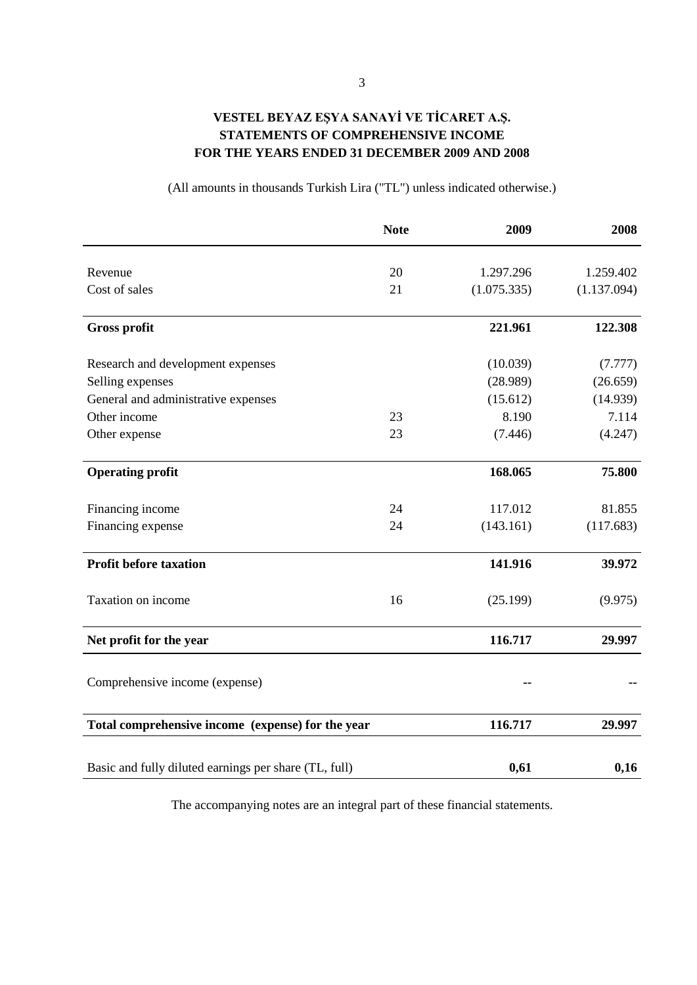# **VESTEL BEYAZ EŞYA SANAYİ VE TİCARET A.Ş. STATEMENTS OF COMPREHENSIVE INCOME FOR THE YEARS ENDED 31 DECEMBER 2009 AND 2008**

(All amounts in thousands Turkish Lira ("TL") unless indicated otherwise.)

|                                                       | <b>Note</b> | 2009        | 2008        |
|-------------------------------------------------------|-------------|-------------|-------------|
| Revenue                                               | 20          | 1.297.296   | 1.259.402   |
| Cost of sales                                         | 21          | (1.075.335) | (1.137.094) |
| <b>Gross profit</b>                                   |             | 221.961     | 122.308     |
| Research and development expenses                     |             | (10.039)    | (7.777)     |
| Selling expenses                                      |             | (28.989)    | (26.659)    |
| General and administrative expenses                   |             | (15.612)    | (14.939)    |
| Other income                                          | 23          | 8.190       | 7.114       |
| Other expense                                         | 23          | (7.446)     | (4.247)     |
| <b>Operating profit</b>                               |             | 168.065     | 75.800      |
| Financing income                                      | 24          | 117.012     | 81.855      |
| Financing expense                                     | 24          | (143.161)   | (117.683)   |
| Profit before taxation                                |             | 141.916     | 39.972      |
| Taxation on income                                    | 16          | (25.199)    | (9.975)     |
| Net profit for the year                               |             | 116.717     | 29.997      |
| Comprehensive income (expense)                        |             |             |             |
| Total comprehensive income (expense) for the year     |             | 116.717     | 29.997      |
| Basic and fully diluted earnings per share (TL, full) |             | 0,61        | 0,16        |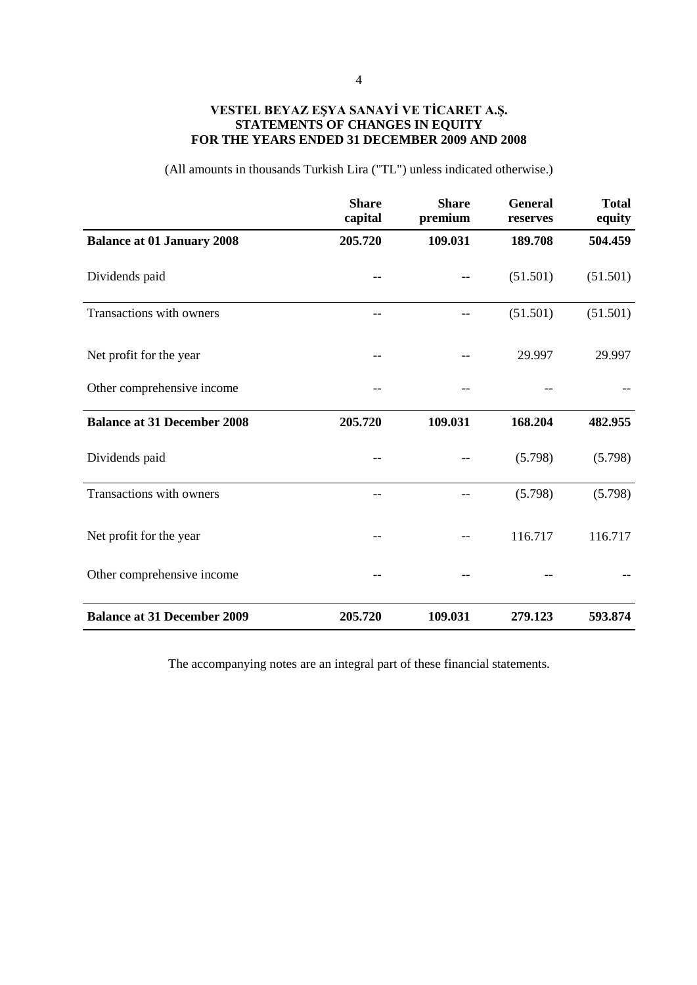# **VESTEL BEYAZ EŞYA SANAYİ VE TİCARET A.Ş. STATEMENTS OF CHANGES IN EQUITY FOR THE YEARS ENDED 31 DECEMBER 2009 AND 2008**

**Share capital Share premium General reserves Total equity Balance at 01 January 2008 205.720 109.031 189.708 504.459**  Dividends paid -- (51.501) (51.501) (51.501) Transactions with owners  $(51.501)$   $(51.501)$ Net profit for the year 129.997 29.997 Other comprehensive income -- -- -- -- **Balance at 31 December 2008 205.720 109.031 168.204 482.955**  Dividends paid  $-$  (5.798) (5.798) Transactions with owners  $(5.798)$   $(5.798)$ Net profit for the year 116.717 116.717 116.717 Other comprehensive income  $-$  --  $-$  --  $-$  --**Balance at 31 December 2009 205.720 109.031 279.123 593.874** 

(All amounts in thousands Turkish Lira ("TL") unless indicated otherwise.)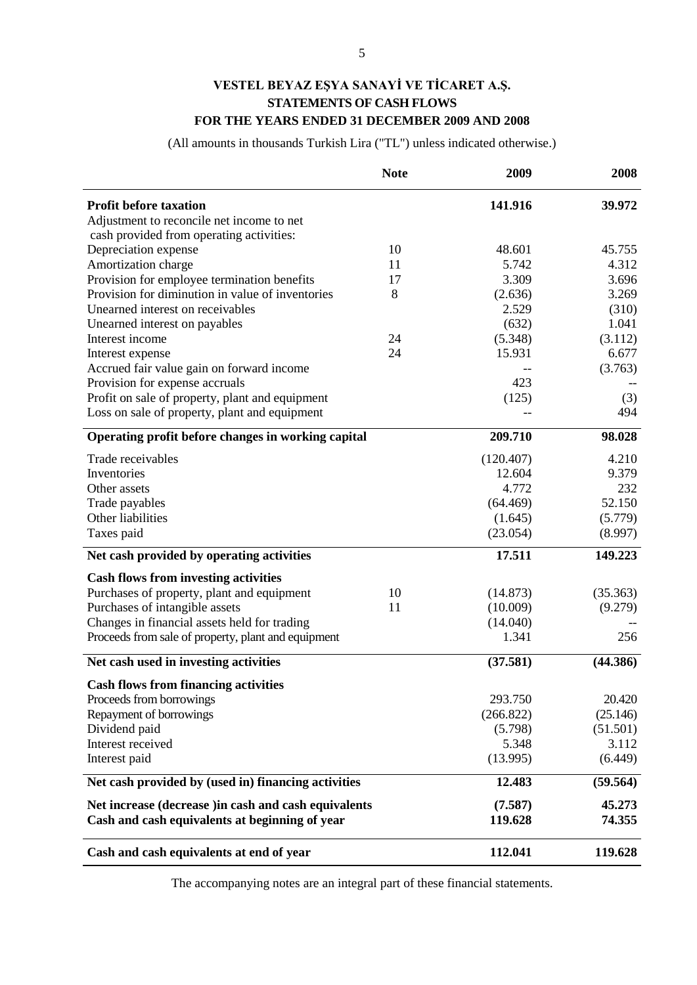# **VESTEL BEYAZ EŞYA SANAYİ VE TİCARET A.Ş. STATEMENTS OF CASH FLOWS FOR THE YEARS ENDED 31 DECEMBER 2009 AND 2008**

(All amounts in thousands Turkish Lira ("TL") unless indicated otherwise.)

|                                                       | <b>Note</b> | 2009      | 2008     |
|-------------------------------------------------------|-------------|-----------|----------|
| <b>Profit before taxation</b>                         |             | 141.916   | 39.972   |
| Adjustment to reconcile net income to net             |             |           |          |
| cash provided from operating activities:              |             |           |          |
| Depreciation expense                                  | 10          | 48.601    | 45.755   |
| Amortization charge                                   | 11          | 5.742     | 4.312    |
| Provision for employee termination benefits           | 17          | 3.309     | 3.696    |
| Provision for diminution in value of inventories      | 8           | (2.636)   | 3.269    |
| Unearned interest on receivables                      |             | 2.529     | (310)    |
| Unearned interest on payables                         |             | (632)     | 1.041    |
| Interest income                                       | 24          | (5.348)   | (3.112)  |
| Interest expense                                      | 24          | 15.931    | 6.677    |
| Accrued fair value gain on forward income             |             |           | (3.763)  |
| Provision for expense accruals                        |             | 423       |          |
| Profit on sale of property, plant and equipment       |             | (125)     | (3)      |
| Loss on sale of property, plant and equipment         |             |           | 494      |
| Operating profit before changes in working capital    |             | 209.710   | 98.028   |
| Trade receivables                                     |             | (120.407) | 4.210    |
| Inventories                                           |             | 12.604    | 9.379    |
| Other assets                                          |             | 4.772     | 232      |
| Trade payables                                        |             | (64.469)  | 52.150   |
| Other liabilities                                     |             | (1.645)   | (5.779)  |
| Taxes paid                                            |             | (23.054)  | (8.997)  |
| Net cash provided by operating activities             |             | 17.511    | 149.223  |
| <b>Cash flows from investing activities</b>           |             |           |          |
| Purchases of property, plant and equipment            | 10          | (14.873)  | (35.363) |
| Purchases of intangible assets                        | 11          | (10.009)  | (9.279)  |
| Changes in financial assets held for trading          |             | (14.040)  |          |
| Proceeds from sale of property, plant and equipment   |             | 1.341     | 256      |
| Net cash used in investing activities                 |             | (37.581)  | (44.386) |
| <b>Cash flows from financing activities</b>           |             |           |          |
| Proceeds from borrowings                              |             | 293.750   | 20.420   |
| Repayment of borrowings                               |             | (266.822) | (25.146) |
| Dividend paid                                         |             | (5.798)   | (51.501) |
| Interest received                                     |             | 5.348     | 3.112    |
| Interest paid                                         |             | (13.995)  | (6.449)  |
| Net cash provided by (used in) financing activities   |             | 12.483    | (59.564) |
| Net increase (decrease ) in cash and cash equivalents |             | (7.587)   | 45.273   |
| Cash and cash equivalents at beginning of year        |             | 119.628   | 74.355   |
| Cash and cash equivalents at end of year              |             | 112.041   | 119.628  |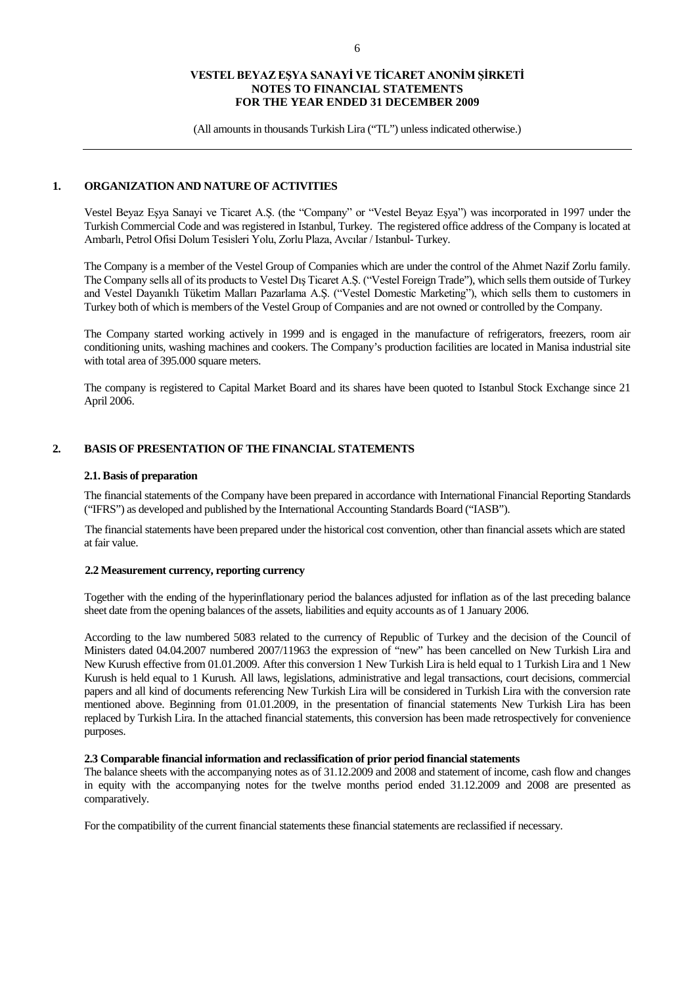(All amounts in thousands Turkish Lira ("TL") unless indicated otherwise.)

#### **1. ORGANIZATION AND NATURE OF ACTIVITIES**

Vestel Beyaz Eşya Sanayi ve Ticaret A.Ş. (the "Company" or "Vestel Beyaz Eşya") was incorporated in 1997 under the Turkish Commercial Code and was registered in Istanbul, Turkey. The registered office address of the Company is located at Ambarlı, Petrol Ofisi Dolum Tesisleri Yolu, Zorlu Plaza, Avcılar / Istanbul- Turkey.

The Company is a member of the Vestel Group of Companies which are under the control of the Ahmet Nazif Zorlu family. The Company sells all of its products to Vestel Dış Ticaret A.Ş. ("Vestel Foreign Trade"), which sells them outside of Turkey and Vestel Dayanıklı Tüketim Malları Pazarlama A.Ş. ("Vestel Domestic Marketing"), which sells them to customers in Turkey both of which is members of the Vestel Group of Companies and are not owned or controlled by the Company.

The Company started working actively in 1999 and is engaged in the manufacture of refrigerators, freezers, room air conditioning units, washing machines and cookers. The Company's production facilities are located in Manisa industrial site with total area of 395.000 square meters.

The company is registered to Capital Market Board and its shares have been quoted to Istanbul Stock Exchange since 21 April 2006.

### **2. BASIS OF PRESENTATION OF THE FINANCIAL STATEMENTS**

#### **2.1. Basis of preparation**

The financial statements of the Company have been prepared in accordance with International Financial Reporting Standards ("IFRS") as developed and published by the International Accounting Standards Board ("IASB").

The financial statements have been prepared under the historical cost convention, other than financial assets which are stated at fair value.

#### **2.2 Measurement currency, reporting currency**

Together with the ending of the hyperinflationary period the balances adjusted for inflation as of the last preceding balance sheet date from the opening balances of the assets, liabilities and equity accounts as of 1 January 2006.

According to the law numbered 5083 related to the currency of Republic of Turkey and the decision of the Council of Ministers dated 04.04.2007 numbered 2007/11963 the expression of "new" has been cancelled on New Turkish Lira and New Kurush effective from 01.01.2009. After this conversion 1 New Turkish Lira is held equal to 1 Turkish Lira and 1 New Kurush is held equal to 1 Kurush. All laws, legislations, administrative and legal transactions, court decisions, commercial papers and all kind of documents referencing New Turkish Lira will be considered in Turkish Lira with the conversion rate mentioned above. Beginning from 01.01.2009, in the presentation of financial statements New Turkish Lira has been replaced by Turkish Lira. In the attached financial statements, this conversion has been made retrospectively for convenience purposes.

#### **2.3 Comparable financial information and reclassification of prior period financial statements**

The balance sheets with the accompanying notes as of 31.12.2009 and 2008 and statement of income, cash flow and changes in equity with the accompanying notes for the twelve months period ended 31.12.2009 and 2008 are presented as comparatively.

For the compatibility of the current financial statements these financial statements are reclassified if necessary.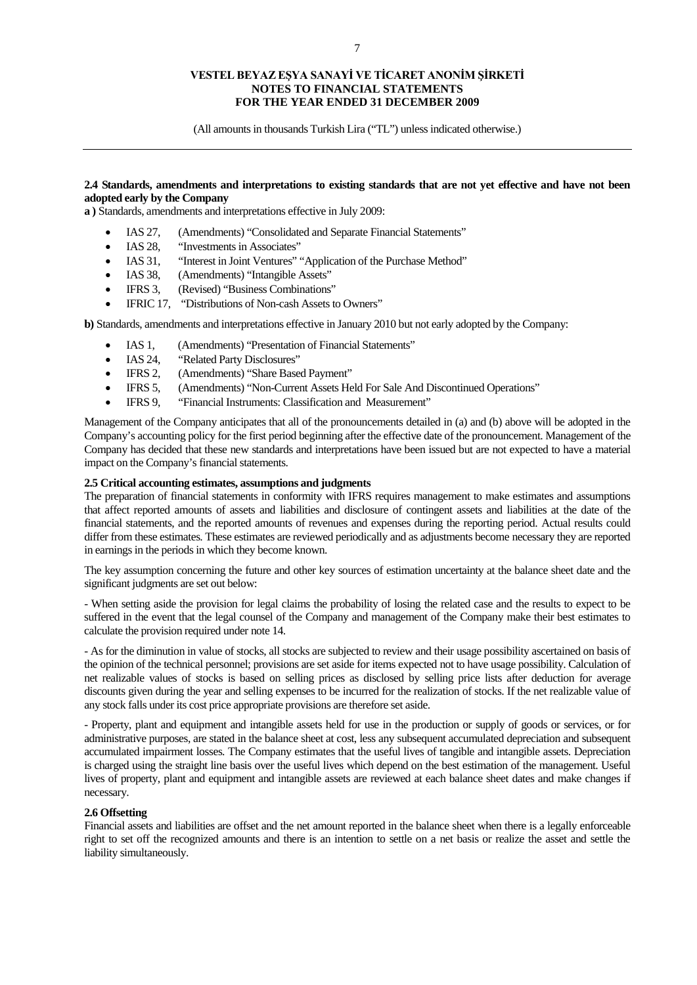(All amounts in thousands Turkish Lira ("TL") unless indicated otherwise.)

#### **2.4 Standards, amendments and interpretations to existing standards that are not yet effective and have not been adopted early by the Company**

**a )** Standards, amendments and interpretations effective in July 2009:

- IAS 27, (Amendments) "Consolidated and Separate Financial Statements"
- IAS 28, "Investments in Associates"
- IAS 31, "Interest in Joint Ventures" "Application of the Purchase Method"
- IAS 38, (Amendments) "Intangible Assets"<br>• IFRS 3. (Revised) "Business Combinations"
- IFRS 3, (Revised) "Business Combinations"
- IFRIC 17, "Distributions of Non-cash Assets to Owners"

**b)** Standards, amendments and interpretations effective in January 2010 but not early adopted by the Company:

- IAS 1, (Amendments) "Presentation of Financial Statements"
- IAS 24, "Related Party Disclosures"
- IFRS 2, (Amendments) "Share Based Payment"
- IFRS 5, (Amendments) "Non-Current Assets Held For Sale And Discontinued Operations"
- IFRS 9, "Financial Instruments: Classification and Measurement"

Management of the Company anticipates that all of the pronouncements detailed in (a) and (b) above will be adopted in the Company's accounting policy for the first period beginning after the effective date of the pronouncement. Management of the Company has decided that these new standards and interpretations have been issued but are not expected to have a material impact on the Company's financial statements.

### **2.5 Critical accounting estimates, assumptions and judgments**

The preparation of financial statements in conformity with IFRS requires management to make estimates and assumptions that affect reported amounts of assets and liabilities and disclosure of contingent assets and liabilities at the date of the financial statements, and the reported amounts of revenues and expenses during the reporting period. Actual results could differ from these estimates. These estimates are reviewed periodically and as adjustments become necessary they are reported in earnings in the periods in which they become known.

The key assumption concerning the future and other key sources of estimation uncertainty at the balance sheet date and the significant judgments are set out below:

- When setting aside the provision for legal claims the probability of losing the related case and the results to expect to be suffered in the event that the legal counsel of the Company and management of the Company make their best estimates to calculate the provision required under note 14.

- As for the diminution in value of stocks, all stocks are subjected to review and their usage possibility ascertained on basis of the opinion of the technical personnel; provisions are set aside for items expected not to have usage possibility. Calculation of net realizable values of stocks is based on selling prices as disclosed by selling price lists after deduction for average discounts given during the year and selling expenses to be incurred for the realization of stocks. If the net realizable value of any stock falls under its cost price appropriate provisions are therefore set aside.

- Property, plant and equipment and intangible assets held for use in the production or supply of goods or services, or for administrative purposes, are stated in the balance sheet at cost, less any subsequent accumulated depreciation and subsequent accumulated impairment losses. The Company estimates that the useful lives of tangible and intangible assets. Depreciation is charged using the straight line basis over the useful lives which depend on the best estimation of the management. Useful lives of property, plant and equipment and intangible assets are reviewed at each balance sheet dates and make changes if necessary.

### **2.6 Offsetting**

Financial assets and liabilities are offset and the net amount reported in the balance sheet when there is a legally enforceable right to set off the recognized amounts and there is an intention to settle on a net basis or realize the asset and settle the liability simultaneously.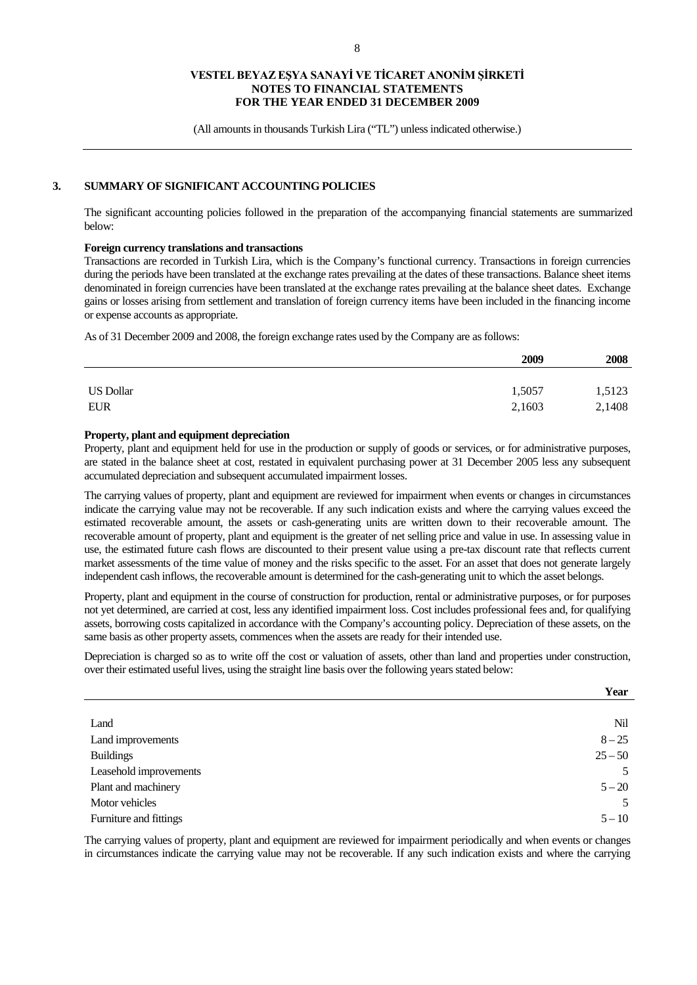(All amounts in thousands Turkish Lira ("TL") unless indicated otherwise.)

### **3. SUMMARY OF SIGNIFICANT ACCOUNTING POLICIES**

The significant accounting policies followed in the preparation of the accompanying financial statements are summarized below:

#### **Foreign currency translations and transactions**

Transactions are recorded in Turkish Lira, which is the Company's functional currency. Transactions in foreign currencies during the periods have been translated at the exchange rates prevailing at the dates of these transactions. Balance sheet items denominated in foreign currencies have been translated at the exchange rates prevailing at the balance sheet dates. Exchange gains or losses arising from settlement and translation of foreign currency items have been included in the financing income or expense accounts as appropriate.

As of 31 December 2009 and 2008, the foreign exchange rates used by the Company are as follows:

|            | 2009   | 2008   |
|------------|--------|--------|
|            |        |        |
| US Dollar  | 1,5057 | 1,5123 |
| <b>EUR</b> | 2,1603 | 2,1408 |

#### **Property, plant and equipment depreciation**

Property, plant and equipment held for use in the production or supply of goods or services, or for administrative purposes, are stated in the balance sheet at cost, restated in equivalent purchasing power at 31 December 2005 less any subsequent accumulated depreciation and subsequent accumulated impairment losses.

The carrying values of property, plant and equipment are reviewed for impairment when events or changes in circumstances indicate the carrying value may not be recoverable. If any such indication exists and where the carrying values exceed the estimated recoverable amount, the assets or cash-generating units are written down to their recoverable amount. The recoverable amount of property, plant and equipment is the greater of net selling price and value in use. In assessing value in use, the estimated future cash flows are discounted to their present value using a pre-tax discount rate that reflects current market assessments of the time value of money and the risks specific to the asset. For an asset that does not generate largely independent cash inflows, the recoverable amount is determined for the cash-generating unit to which the asset belongs.

Property, plant and equipment in the course of construction for production, rental or administrative purposes, or for purposes not yet determined, are carried at cost, less any identified impairment loss. Cost includes professional fees and, for qualifying assets, borrowing costs capitalized in accordance with the Company's accounting policy. Depreciation of these assets, on the same basis as other property assets, commences when the assets are ready for their intended use.

Depreciation is charged so as to write off the cost or valuation of assets, other than land and properties under construction, over their estimated useful lives, using the straight line basis over the following years stated below:

**Year**

| <b>Nil</b> |
|------------|
| $8 - 25$   |
| $25 - 50$  |
| 5          |
| $5 - 20$   |
| 5          |
| $5 - 10$   |
|            |

The carrying values of property, plant and equipment are reviewed for impairment periodically and when events or changes in circumstances indicate the carrying value may not be recoverable. If any such indication exists and where the carrying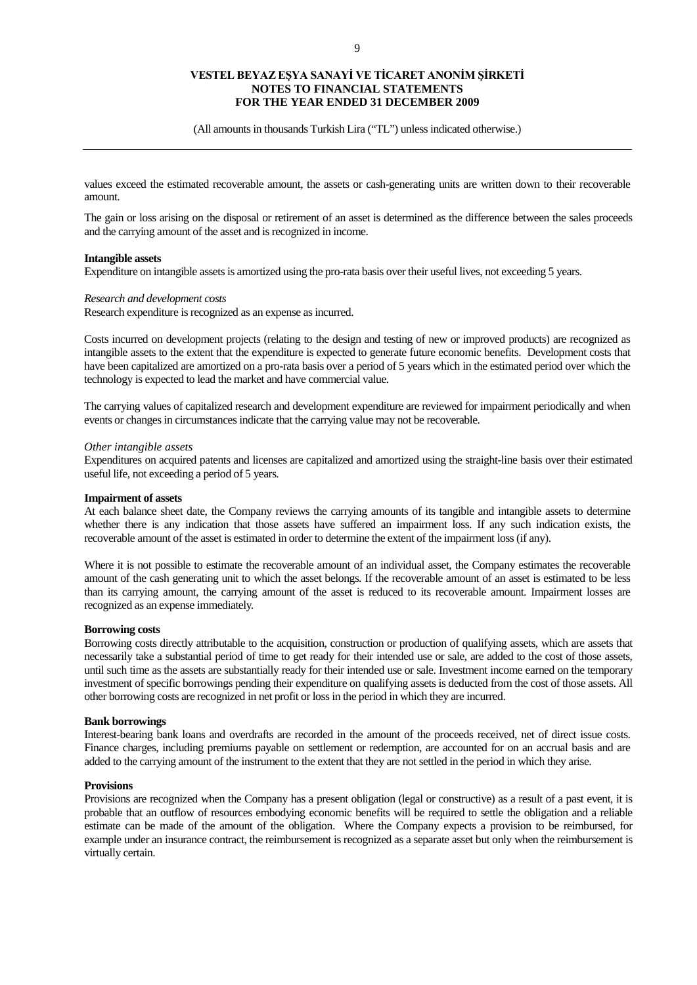(All amounts in thousands Turkish Lira ("TL") unless indicated otherwise.)

values exceed the estimated recoverable amount, the assets or cash-generating units are written down to their recoverable amount.

The gain or loss arising on the disposal or retirement of an asset is determined as the difference between the sales proceeds and the carrying amount of the asset and is recognized in income.

#### **Intangible assets**

Expenditure on intangible assets is amortized using the pro-rata basis over their useful lives, not exceeding 5 years.

#### *Research and development costs*

Research expenditure is recognized as an expense as incurred.

Costs incurred on development projects (relating to the design and testing of new or improved products) are recognized as intangible assets to the extent that the expenditure is expected to generate future economic benefits. Development costs that have been capitalized are amortized on a pro-rata basis over a period of 5 years which in the estimated period over which the technology is expected to lead the market and have commercial value.

The carrying values of capitalized research and development expenditure are reviewed for impairment periodically and when events or changes in circumstances indicate that the carrying value may not be recoverable.

#### *Other intangible assets*

Expenditures on acquired patents and licenses are capitalized and amortized using the straight-line basis over their estimated useful life, not exceeding a period of 5 years.

#### **Impairment of assets**

At each balance sheet date, the Company reviews the carrying amounts of its tangible and intangible assets to determine whether there is any indication that those assets have suffered an impairment loss. If any such indication exists, the recoverable amount of the asset is estimated in order to determine the extent of the impairment loss (if any).

Where it is not possible to estimate the recoverable amount of an individual asset, the Company estimates the recoverable amount of the cash generating unit to which the asset belongs. If the recoverable amount of an asset is estimated to be less than its carrying amount, the carrying amount of the asset is reduced to its recoverable amount. Impairment losses are recognized as an expense immediately.

#### **Borrowing costs**

Borrowing costs directly attributable to the acquisition, construction or production of qualifying assets, which are assets that necessarily take a substantial period of time to get ready for their intended use or sale, are added to the cost of those assets, until such time as the assets are substantially ready for their intended use or sale. Investment income earned on the temporary investment of specific borrowings pending their expenditure on qualifying assets is deducted from the cost of those assets. All other borrowing costs are recognized in net profit or loss in the period in which they are incurred.

#### **Bank borrowings**

Interest-bearing bank loans and overdrafts are recorded in the amount of the proceeds received, net of direct issue costs. Finance charges, including premiums payable on settlement or redemption, are accounted for on an accrual basis and are added to the carrying amount of the instrument to the extent that they are not settled in the period in which they arise.

#### **Provisions**

Provisions are recognized when the Company has a present obligation (legal or constructive) as a result of a past event, it is probable that an outflow of resources embodying economic benefits will be required to settle the obligation and a reliable estimate can be made of the amount of the obligation. Where the Company expects a provision to be reimbursed, for example under an insurance contract, the reimbursement is recognized as a separate asset but only when the reimbursement is virtually certain.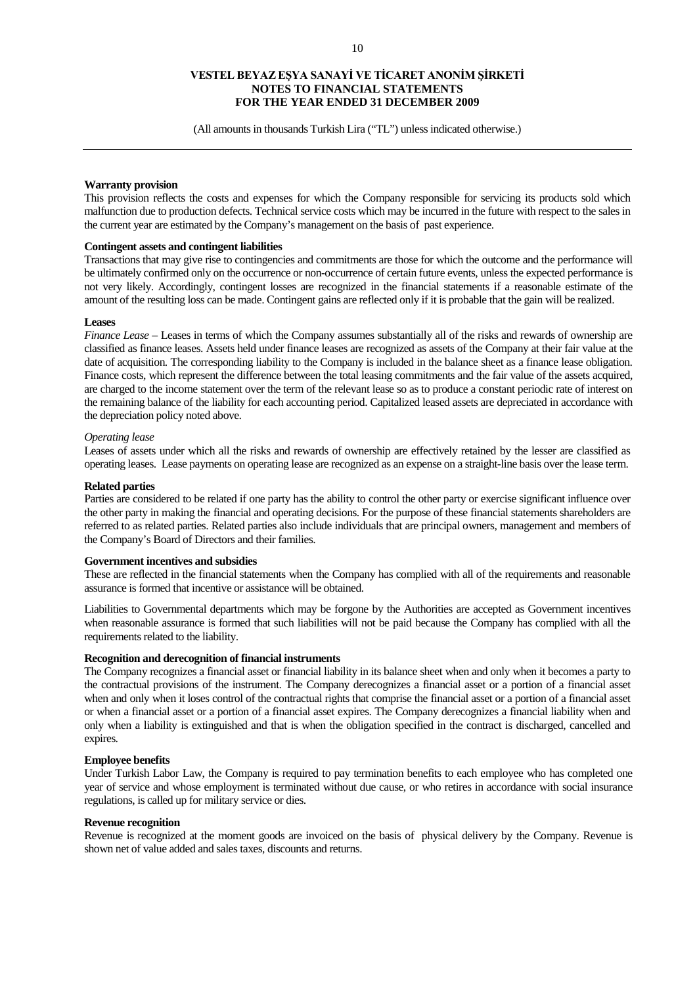(All amounts in thousands Turkish Lira ("TL") unless indicated otherwise.)

#### **Warranty provision**

This provision reflects the costs and expenses for which the Company responsible for servicing its products sold which malfunction due to production defects. Technical service costs which may be incurred in the future with respect to the sales in the current year are estimated by the Company's management on the basis of past experience.

### **Contingent assets and contingent liabilities**

Transactions that may give rise to contingencies and commitments are those for which the outcome and the performance will be ultimately confirmed only on the occurrence or non-occurrence of certain future events, unless the expected performance is not very likely. Accordingly, contingent losses are recognized in the financial statements if a reasonable estimate of the amount of the resulting loss can be made. Contingent gains are reflected only if it is probable that the gain will be realized.

#### **Leases**

*Finance Lease –* Leases in terms of which the Company assumes substantially all of the risks and rewards of ownership are classified as finance leases. Assets held under finance leases are recognized as assets of the Company at their fair value at the date of acquisition. The corresponding liability to the Company is included in the balance sheet as a finance lease obligation. Finance costs, which represent the difference between the total leasing commitments and the fair value of the assets acquired, are charged to the income statement over the term of the relevant lease so as to produce a constant periodic rate of interest on the remaining balance of the liability for each accounting period. Capitalized leased assets are depreciated in accordance with the depreciation policy noted above.

#### *Operating lease*

Leases of assets under which all the risks and rewards of ownership are effectively retained by the lesser are classified as operating leases. Lease payments on operating lease are recognized as an expense on a straight-line basis over the lease term.

#### **Related parties**

Parties are considered to be related if one party has the ability to control the other party or exercise significant influence over the other party in making the financial and operating decisions. For the purpose of these financial statements shareholders are referred to as related parties. Related parties also include individuals that are principal owners, management and members of the Company's Board of Directors and their families.

#### **Government incentives and subsidies**

These are reflected in the financial statements when the Company has complied with all of the requirements and reasonable assurance is formed that incentive or assistance will be obtained.

Liabilities to Governmental departments which may be forgone by the Authorities are accepted as Government incentives when reasonable assurance is formed that such liabilities will not be paid because the Company has complied with all the requirements related to the liability.

#### **Recognition and derecognition of financial instruments**

The Company recognizes a financial asset or financial liability in its balance sheet when and only when it becomes a party to the contractual provisions of the instrument. The Company derecognizes a financial asset or a portion of a financial asset when and only when it loses control of the contractual rights that comprise the financial asset or a portion of a financial asset or when a financial asset or a portion of a financial asset expires. The Company derecognizes a financial liability when and only when a liability is extinguished and that is when the obligation specified in the contract is discharged, cancelled and expires.

#### **Employee benefits**

Under Turkish Labor Law, the Company is required to pay termination benefits to each employee who has completed one year of service and whose employment is terminated without due cause, or who retires in accordance with social insurance regulations, is called up for military service or dies.

### **Revenue recognition**

Revenue is recognized at the moment goods are invoiced on the basis of physical delivery by the Company. Revenue is shown net of value added and sales taxes, discounts and returns.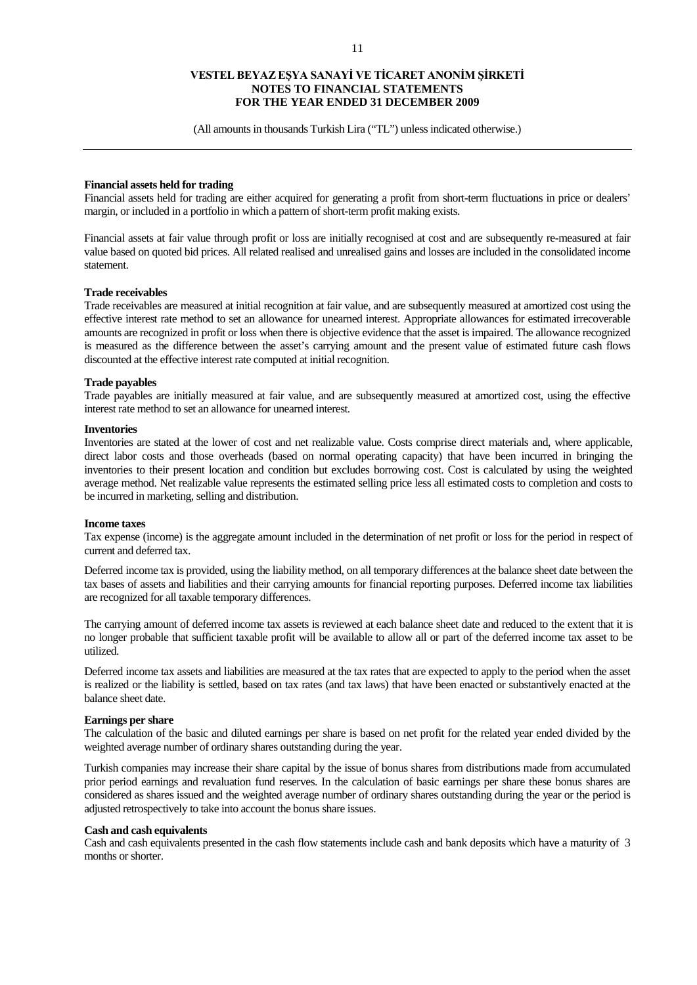(All amounts in thousands Turkish Lira ("TL") unless indicated otherwise.)

### **Financial assets held for trading**

Financial assets held for trading are either acquired for generating a profit from short-term fluctuations in price or dealers' margin, or included in a portfolio in which a pattern of short-term profit making exists.

Financial assets at fair value through profit or loss are initially recognised at cost and are subsequently re-measured at fair value based on quoted bid prices. All related realised and unrealised gains and losses are included in the consolidated income statement.

#### **Trade receivables**

Trade receivables are measured at initial recognition at fair value, and are subsequently measured at amortized cost using the effective interest rate method to set an allowance for unearned interest. Appropriate allowances for estimated irrecoverable amounts are recognized in profit or loss when there is objective evidence that the asset is impaired. The allowance recognized is measured as the difference between the asset's carrying amount and the present value of estimated future cash flows discounted at the effective interest rate computed at initial recognition.

#### **Trade payables**

Trade payables are initially measured at fair value, and are subsequently measured at amortized cost, using the effective interest rate method to set an allowance for unearned interest.

#### **Inventories**

Inventories are stated at the lower of cost and net realizable value. Costs comprise direct materials and, where applicable, direct labor costs and those overheads (based on normal operating capacity) that have been incurred in bringing the inventories to their present location and condition but excludes borrowing cost. Cost is calculated by using the weighted average method. Net realizable value represents the estimated selling price less all estimated costs to completion and costs to be incurred in marketing, selling and distribution.

#### **Income taxes**

Tax expense (income) is the aggregate amount included in the determination of net profit or loss for the period in respect of current and deferred tax.

Deferred income tax is provided, using the liability method, on all temporary differences at the balance sheet date between the tax bases of assets and liabilities and their carrying amounts for financial reporting purposes. Deferred income tax liabilities are recognized for all taxable temporary differences.

The carrying amount of deferred income tax assets is reviewed at each balance sheet date and reduced to the extent that it is no longer probable that sufficient taxable profit will be available to allow all or part of the deferred income tax asset to be utilized.

Deferred income tax assets and liabilities are measured at the tax rates that are expected to apply to the period when the asset is realized or the liability is settled, based on tax rates (and tax laws) that have been enacted or substantively enacted at the balance sheet date.

#### **Earnings per share**

The calculation of the basic and diluted earnings per share is based on net profit for the related year ended divided by the weighted average number of ordinary shares outstanding during the year.

Turkish companies may increase their share capital by the issue of bonus shares from distributions made from accumulated prior period earnings and revaluation fund reserves. In the calculation of basic earnings per share these bonus shares are considered as shares issued and the weighted average number of ordinary shares outstanding during the year or the period is adjusted retrospectively to take into account the bonus share issues.

#### **Cash and cash equivalents**

Cash and cash equivalents presented in the cash flow statements include cash and bank deposits which have a maturity of 3 months or shorter.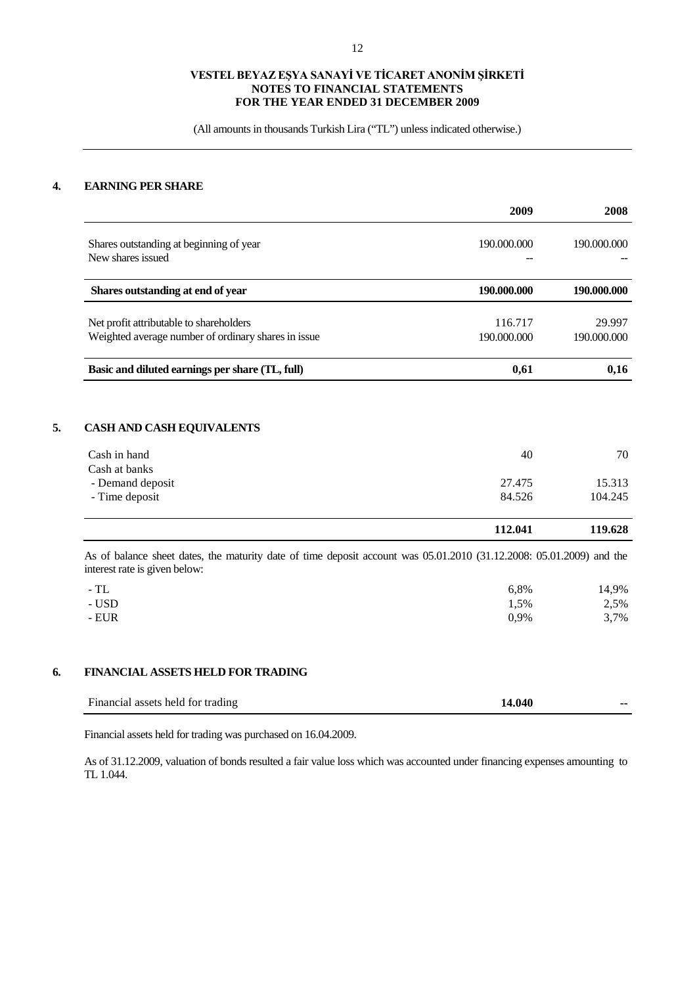(All amounts in thousands Turkish Lira ("TL") unless indicated otherwise.)

# **4. EARNING PER SHARE**

|                                                                                                                                                       | 2009                   | 2008                    |
|-------------------------------------------------------------------------------------------------------------------------------------------------------|------------------------|-------------------------|
| Shares outstanding at beginning of year<br>New shares issued                                                                                          | 190.000.000            | 190.000.000             |
| Shares outstanding at end of year                                                                                                                     | 190.000.000            | 190.000.000             |
| Net profit attributable to shareholders                                                                                                               | 116.717                | 29.997                  |
| Weighted average number of ordinary shares in issue                                                                                                   | 190.000.000            | 190.000.000             |
| Basic and diluted earnings per share (TL, full)                                                                                                       | 0,61                   | 0,16                    |
| Cash in hand<br>Cash at banks<br>- Demand deposit<br>- Time deposit                                                                                   | 40<br>27.475<br>84.526 | 70<br>15.313<br>104.245 |
|                                                                                                                                                       | 112.041                | 119.628                 |
| As of balance sheet dates, the maturity date of time deposit account was 05.01.2010 (31.12.2008: 05.01.2009) and the<br>interest rate is given below: |                        |                         |
| $-TL$                                                                                                                                                 | 6,8%                   | 14,9%                   |
| $-$ USD                                                                                                                                               | 1,5%                   | 2,5%                    |
|                                                                                                                                                       |                        |                         |
| $-EUR$                                                                                                                                                | 0,9%                   |                         |
| <b>FINANCIAL ASSETS HELD FOR TRADING</b>                                                                                                              |                        | 3,7%                    |

Financial assets held for trading was purchased on 16.04.2009.

As of 31.12.2009, valuation of bonds resulted a fair value loss which was accounted under financing expenses amounting to TL 1.044.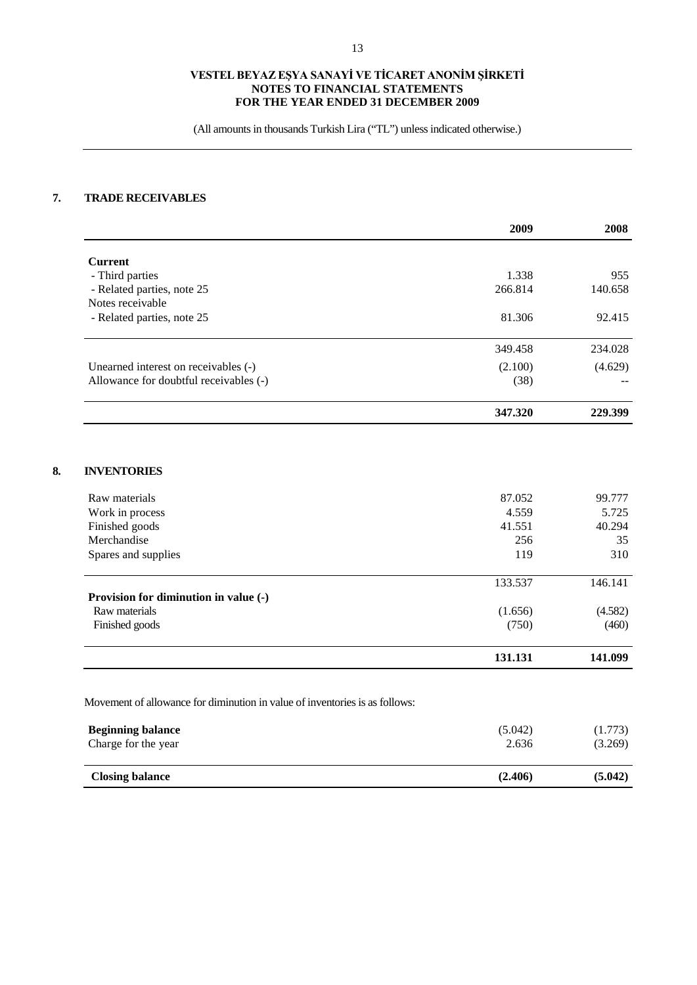(All amounts in thousands Turkish Lira ("TL") unless indicated otherwise.)

# **7. TRADE RECEIVABLES**

|                                                                                          | 2009                                    | 2008                                   |
|------------------------------------------------------------------------------------------|-----------------------------------------|----------------------------------------|
| <b>Current</b>                                                                           |                                         |                                        |
| - Third parties                                                                          | 1.338                                   | 955                                    |
| - Related parties, note 25                                                               | 266.814                                 | 140.658                                |
| Notes receivable                                                                         |                                         |                                        |
| - Related parties, note 25                                                               | 81.306                                  | 92.415                                 |
|                                                                                          | 349.458                                 | 234.028                                |
| Unearned interest on receivables (-)                                                     | (2.100)                                 | (4.629)                                |
| Allowance for doubtful receivables (-)                                                   | (38)                                    |                                        |
|                                                                                          | 347.320                                 | 229.399                                |
| Raw materials<br>Work in process<br>Finished goods<br>Merchandise<br>Spares and supplies | 87.052<br>4.559<br>41.551<br>256<br>119 | 99.777<br>5.725<br>40.294<br>35<br>310 |
|                                                                                          |                                         |                                        |
|                                                                                          | 133.537                                 | 146.141                                |
| Provision for diminution in value (-)                                                    |                                         |                                        |
| Raw materials                                                                            | (1.656)                                 | (4.582)                                |
| Finished goods                                                                           | (750)                                   | (460)                                  |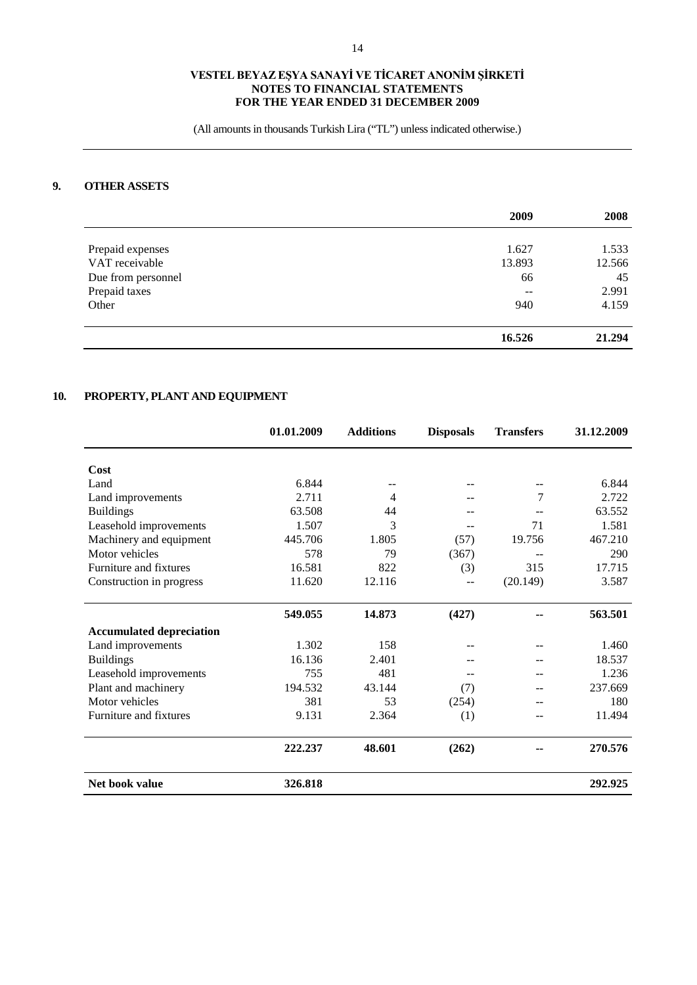(All amounts in thousands Turkish Lira ("TL") unless indicated otherwise.)

# **9. OTHER ASSETS**

|                    | 2009   | 2008   |
|--------------------|--------|--------|
|                    |        |        |
| Prepaid expenses   | 1.627  | 1.533  |
| VAT receivable     | 13.893 | 12.566 |
| Due from personnel | 66     | 45     |
| Prepaid taxes      | $- -$  | 2.991  |
| Other              | 940    | 4.159  |
|                    | 16.526 | 21.294 |

# **10. PROPERTY, PLANT AND EQUIPMENT**

|                                 | 01.01.2009 | <b>Additions</b> | <b>Disposals</b> | <b>Transfers</b> | 31.12.2009 |
|---------------------------------|------------|------------------|------------------|------------------|------------|
| Cost                            |            |                  |                  |                  |            |
| Land                            | 6.844      |                  |                  |                  | 6.844      |
| Land improvements               | 2.711      | 4                |                  | 7                | 2.722      |
| <b>Buildings</b>                | 63.508     | 44               |                  |                  | 63.552     |
| Leasehold improvements          | 1.507      | 3                |                  | 71               | 1.581      |
| Machinery and equipment         | 445.706    | 1.805            | (57)             | 19.756           | 467.210    |
| Motor vehicles                  | 578        | 79               | (367)            | --               | 290        |
| Furniture and fixtures          | 16.581     | 822              | (3)              | 315              | 17.715     |
| Construction in progress        | 11.620     | 12.116           | --               | (20.149)         | 3.587      |
|                                 |            |                  |                  |                  |            |
|                                 | 549.055    | 14.873           | (427)            |                  | 563.501    |
| <b>Accumulated depreciation</b> |            |                  |                  |                  |            |
| Land improvements               | 1.302      | 158              |                  |                  | 1.460      |
| <b>Buildings</b>                | 16.136     | 2.401            |                  |                  | 18.537     |
| Leasehold improvements          | 755        | 481              |                  | --               | 1.236      |
| Plant and machinery             | 194.532    | 43.144           | (7)              |                  | 237.669    |
| Motor vehicles                  | 381        | 53               | (254)            |                  | 180        |
| Furniture and fixtures          | 9.131      | 2.364            | (1)              |                  | 11.494     |
|                                 | 222.237    | 48.601           | (262)            |                  | 270.576    |
| Net book value                  | 326.818    |                  |                  |                  | 292.925    |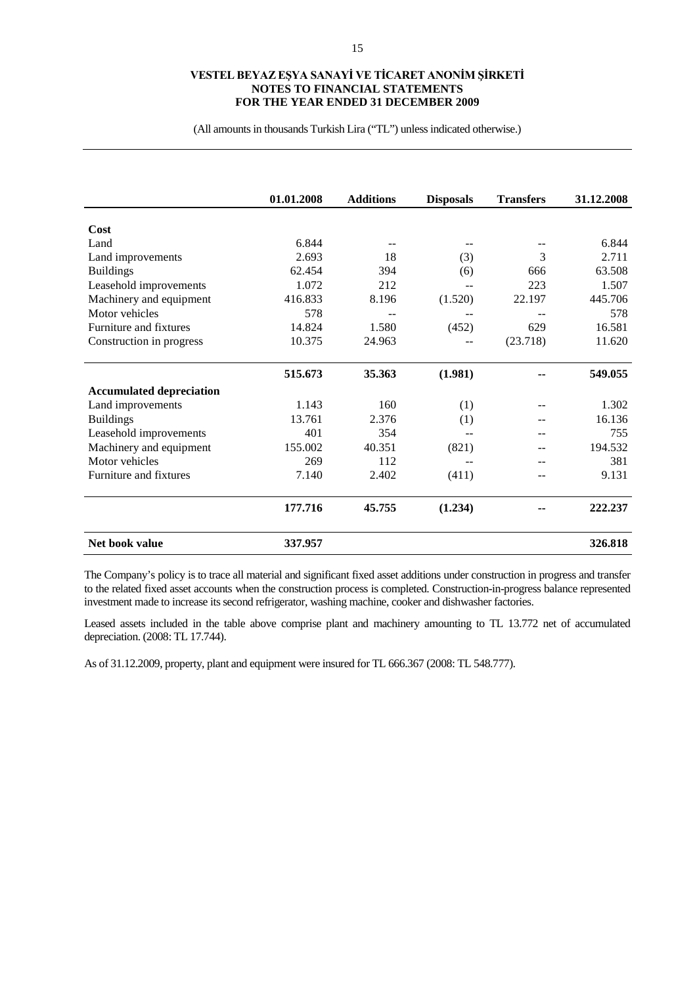(All amounts in thousands Turkish Lira ("TL") unless indicated otherwise.)

|                                 | 01.01.2008 | <b>Additions</b> | <b>Disposals</b> | <b>Transfers</b> | 31.12.2008 |
|---------------------------------|------------|------------------|------------------|------------------|------------|
|                                 |            |                  |                  |                  |            |
| Cost                            |            |                  |                  |                  |            |
| Land                            | 6.844      |                  |                  |                  | 6.844      |
| Land improvements               | 2.693      | 18               | (3)              | 3                | 2.711      |
| <b>Buildings</b>                | 62.454     | 394              | (6)              | 666              | 63.508     |
| Leasehold improvements          | 1.072      | 212              | --               | 223              | 1.507      |
| Machinery and equipment         | 416.833    | 8.196            | (1.520)          | 22.197           | 445.706    |
| Motor vehicles                  | 578        |                  |                  | $- -$            | 578        |
| Furniture and fixtures          | 14.824     | 1.580            | (452)            | 629              | 16.581     |
| Construction in progress        | 10.375     | 24.963           |                  | (23.718)         | 11.620     |
|                                 | 515.673    | 35.363           | (1.981)          |                  | 549.055    |
| <b>Accumulated depreciation</b> |            |                  |                  |                  |            |
| Land improvements               | 1.143      | 160              | (1)              |                  | 1.302      |
| <b>Buildings</b>                | 13.761     | 2.376            | (1)              |                  | 16.136     |
| Leasehold improvements          | 401        | 354              |                  |                  | 755        |
| Machinery and equipment         | 155.002    | 40.351           | (821)            |                  | 194.532    |
| Motor vehicles                  | 269        | 112              |                  |                  | 381        |
| Furniture and fixtures          | 7.140      | 2.402            | (411)            |                  | 9.131      |
|                                 | 177.716    | 45.755           | (1.234)          |                  | 222.237    |
| Net book value                  | 337.957    |                  |                  |                  | 326.818    |

The Company's policy is to trace all material and significant fixed asset additions under construction in progress and transfer to the related fixed asset accounts when the construction process is completed. Construction-in-progress balance represented investment made to increase its second refrigerator, washing machine, cooker and dishwasher factories.

Leased assets included in the table above comprise plant and machinery amounting to TL 13.772 net of accumulated depreciation. (2008: TL 17.744).

As of 31.12.2009, property, plant and equipment were insured for TL 666.367 (2008: TL 548.777).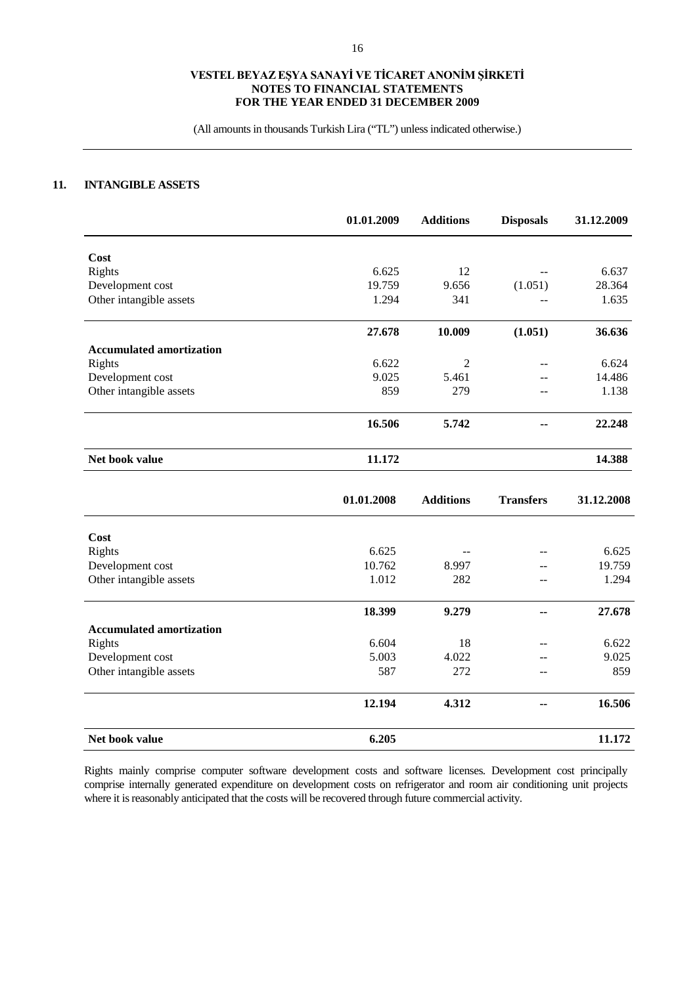(All amounts in thousands Turkish Lira ("TL") unless indicated otherwise.)

### **11. INTANGIBLE ASSETS**

|                                             | 01.01.2009 | <b>Additions</b> | <b>Disposals</b> | 31.12.2009 |
|---------------------------------------------|------------|------------------|------------------|------------|
| Cost                                        |            |                  |                  |            |
| Rights                                      | 6.625      | 12               | $\overline{a}$   | 6.637      |
| Development cost                            | 19.759     | 9.656            | (1.051)          | 28.364     |
| Other intangible assets                     | 1.294      | 341              |                  | 1.635      |
|                                             | 27.678     | 10.009           | (1.051)          | 36.636     |
| <b>Accumulated amortization</b>             |            |                  |                  |            |
| Rights                                      | 6.622      | $\overline{2}$   | --               | 6.624      |
| Development cost                            | 9.025      | 5.461            | $=$              | 14.486     |
| Other intangible assets                     | 859        | 279              | --               | 1.138      |
|                                             | 16.506     | 5.742            | --               | 22.248     |
| Net book value                              | 11.172     |                  |                  | 14.388     |
|                                             | 01.01.2008 | <b>Additions</b> | <b>Transfers</b> | 31.12.2008 |
|                                             |            |                  |                  |            |
| Cost                                        | 6.625      |                  |                  | 6.625      |
| Rights                                      | 10.762     | 8.997            |                  | 19.759     |
| Development cost<br>Other intangible assets | 1.012      | 282              | ۵.<br>$-1$       | 1.294      |
|                                             | 18.399     | 9.279            | --               | 27.678     |
| <b>Accumulated amortization</b>             |            |                  |                  |            |
| Rights                                      | 6.604      | 18               | --               | 6.622      |
| Development cost                            | 5.003      | 4.022            | --               | 9.025      |
| Other intangible assets                     | 587        | 272              | --               | 859        |
|                                             | 12.194     | 4.312            | --               | 16.506     |
| Net book value                              | 6.205      |                  |                  | 11.172     |

Rights mainly comprise computer software development costs and software licenses. Development cost principally comprise internally generated expenditure on development costs on refrigerator and room air conditioning unit projects where it is reasonably anticipated that the costs will be recovered through future commercial activity.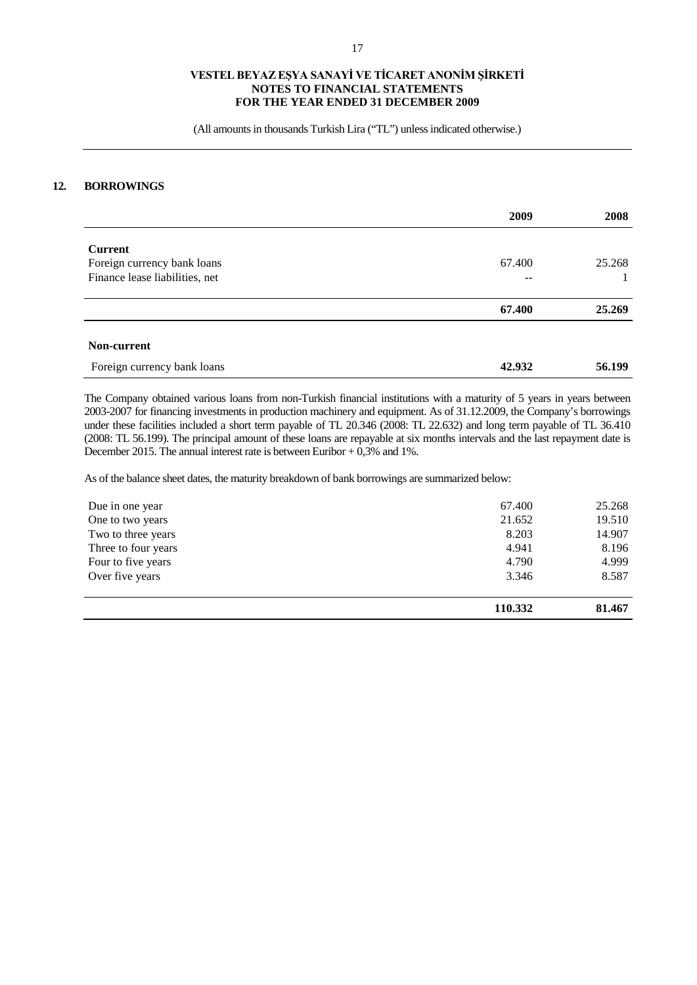(All amounts in thousands Turkish Lira ("TL") unless indicated otherwise.)

## **12. BORROWINGS**

|                                | 2009   | 2008   |
|--------------------------------|--------|--------|
| <b>Current</b>                 |        |        |
| Foreign currency bank loans    | 67.400 | 25.268 |
| Finance lease liabilities, net | --     |        |
|                                | 67.400 | 25.269 |
|                                |        |        |
| Non-current                    |        |        |
| Foreign currency bank loans    | 42.932 | 56.199 |

The Company obtained various loans from non-Turkish financial institutions with a maturity of 5 years in years between 2003-2007 for financing investments in production machinery and equipment. As of 31.12.2009, the Company's borrowings under these facilities included a short term payable of TL 20.346 (2008: TL 22.632) and long term payable of TL 36.410 (2008: TL 56.199). The principal amount of these loans are repayable at six months intervals and the last repayment date is December 2015. The annual interest rate is between Euribor + 0,3% and 1%.

As of the balance sheet dates, the maturity breakdown of bank borrowings are summarized below:

|                     | 110.332 | 81.467 |
|---------------------|---------|--------|
| Over five years     | 3.346   | 8.587  |
| Four to five years  | 4.790   | 4.999  |
| Three to four years | 4.941   | 8.196  |
| Two to three years  | 8.203   | 14.907 |
| One to two years    | 21.652  | 19.510 |
| Due in one year     | 67.400  | 25.268 |
|                     |         |        |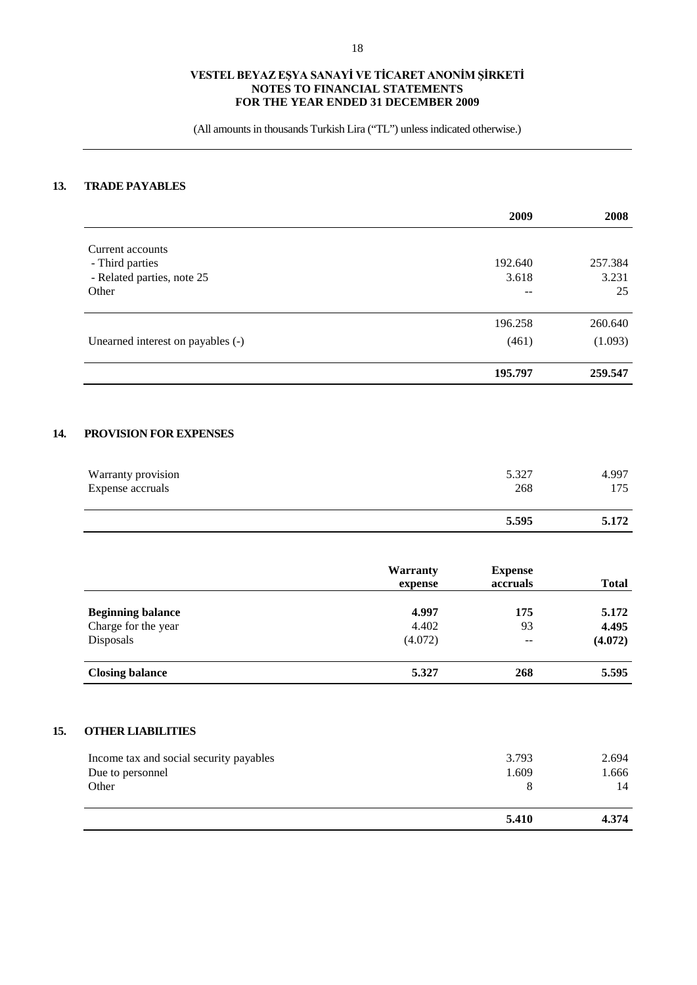(All amounts in thousands Turkish Lira ("TL") unless indicated otherwise.)

# **13. TRADE PAYABLES**

|                                   |          | 2009           | 2008         |
|-----------------------------------|----------|----------------|--------------|
| Current accounts                  |          |                |              |
| - Third parties                   |          | 192.640        | 257.384      |
| - Related parties, note 25        |          | 3.618          | 3.231        |
| Other                             |          | --             | 25           |
|                                   |          | 196.258        | 260.640      |
| Unearned interest on payables (-) |          | (461)          | (1.093)      |
|                                   |          | 195.797        | 259.547      |
| Warranty provision                |          | 5.327          | 4.997        |
|                                   |          |                |              |
| Expense accruals                  |          | 268            | 175          |
|                                   |          | 5.595          | 5.172        |
|                                   | Warranty | <b>Expense</b> |              |
|                                   | expense  | accruals       | <b>Total</b> |
| <b>Beginning balance</b>          | 4.997    | 175            | 5.172        |
| Charge for the year               | 4.402    | 93             | 4.495        |
| Disposals                         | (4.072)  | $-$            | (4.072)      |

| <b>Closing balance</b> | .<br>J.J <i>el</i> | 268 |  |
|------------------------|--------------------|-----|--|

# **15. OTHER LIABILITIES**

| Other | 14 |
|-------|----|
|       |    |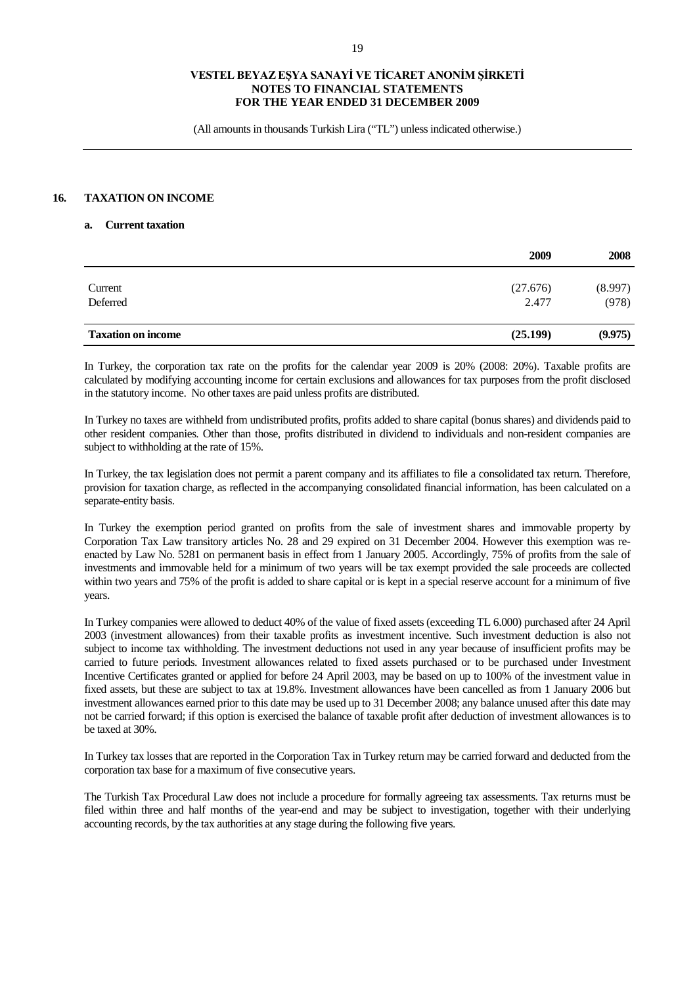(All amounts in thousands Turkish Lira ("TL") unless indicated otherwise.)

### **16. TAXATION ON INCOME**

#### **a. Current taxation**

|                           | 2009              | 2008             |
|---------------------------|-------------------|------------------|
| Current<br>Deferred       | (27.676)<br>2.477 | (8.997)<br>(978) |
| <b>Taxation on income</b> | (25.199)          | (9.975)          |

In Turkey, the corporation tax rate on the profits for the calendar year 2009 is 20% (2008: 20%). Taxable profits are calculated by modifying accounting income for certain exclusions and allowances for tax purposes from the profit disclosed in the statutory income. No other taxes are paid unless profits are distributed.

In Turkey no taxes are withheld from undistributed profits, profits added to share capital (bonus shares) and dividends paid to other resident companies. Other than those, profits distributed in dividend to individuals and non-resident companies are subject to withholding at the rate of 15%.

In Turkey, the tax legislation does not permit a parent company and its affiliates to file a consolidated tax return. Therefore, provision for taxation charge, as reflected in the accompanying consolidated financial information, has been calculated on a separate-entity basis.

In Turkey the exemption period granted on profits from the sale of investment shares and immovable property by Corporation Tax Law transitory articles No. 28 and 29 expired on 31 December 2004. However this exemption was reenacted by Law No. 5281 on permanent basis in effect from 1 January 2005. Accordingly, 75% of profits from the sale of investments and immovable held for a minimum of two years will be tax exempt provided the sale proceeds are collected within two years and 75% of the profit is added to share capital or is kept in a special reserve account for a minimum of five years.

In Turkey companies were allowed to deduct 40% of the value of fixed assets (exceeding TL 6.000) purchased after 24 April 2003 (investment allowances) from their taxable profits as investment incentive. Such investment deduction is also not subject to income tax withholding. The investment deductions not used in any year because of insufficient profits may be carried to future periods. Investment allowances related to fixed assets purchased or to be purchased under Investment Incentive Certificates granted or applied for before 24 April 2003, may be based on up to 100% of the investment value in fixed assets, but these are subject to tax at 19.8%. Investment allowances have been cancelled as from 1 January 2006 but investment allowances earned prior to this date may be used up to 31 December 2008; any balance unused after this date may not be carried forward; if this option is exercised the balance of taxable profit after deduction of investment allowances is to be taxed at 30%.

In Turkey tax losses that are reported in the Corporation Tax in Turkey return may be carried forward and deducted from the corporation tax base for a maximum of five consecutive years.

The Turkish Tax Procedural Law does not include a procedure for formally agreeing tax assessments. Tax returns must be filed within three and half months of the year-end and may be subject to investigation, together with their underlying accounting records, by the tax authorities at any stage during the following five years.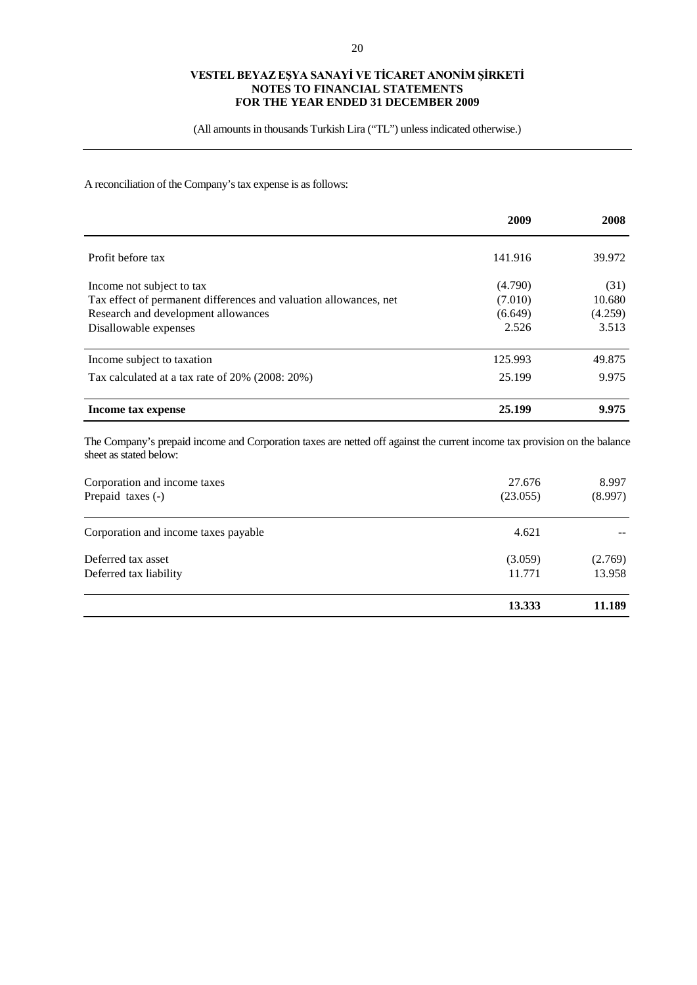(All amounts in thousands Turkish Lira ("TL") unless indicated otherwise.)

A reconciliation of the Company's tax expense is as follows:

|                                                                   | 2009    | 2008    |
|-------------------------------------------------------------------|---------|---------|
| Profit before tax                                                 | 141.916 | 39.972  |
| Income not subject to tax                                         | (4.790) | (31)    |
| Tax effect of permanent differences and valuation allowances, net | (7.010) | 10.680  |
| Research and development allowances                               | (6.649) | (4.259) |
| Disallowable expenses                                             | 2.526   | 3.513   |
| Income subject to taxation                                        | 125.993 | 49.875  |
| Tax calculated at a tax rate of 20% (2008: 20%)                   | 25.199  | 9.975   |
| Income tax expense                                                | 25.199  | 9.975   |
|                                                                   |         |         |

The Company's prepaid income and Corporation taxes are netted off against the current income tax provision on the balance sheet as stated below:

| Corporation and income taxes         | 27.676   | 8.997   |
|--------------------------------------|----------|---------|
| Prepaid taxes (-)                    | (23.055) | (8.997) |
| Corporation and income taxes payable | 4.621    |         |
| Deferred tax asset                   | (3.059)  | (2.769) |
| Deferred tax liability               | 11.771   | 13.958  |
|                                      | 13.333   | 11.189  |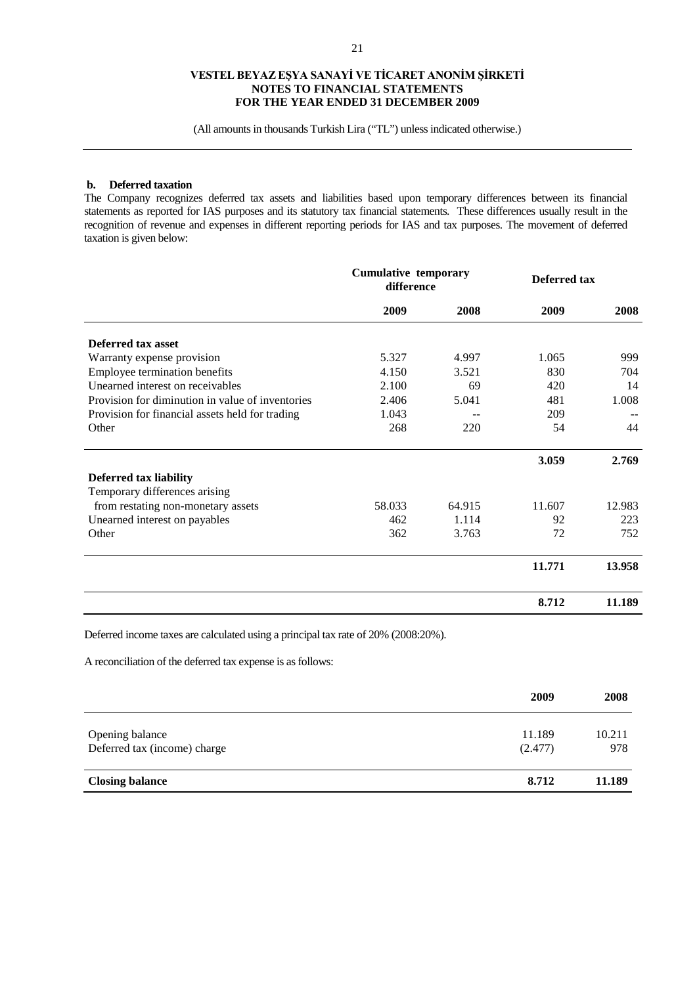(All amounts in thousands Turkish Lira ("TL") unless indicated otherwise.)

## **b. Deferred taxation**

The Company recognizes deferred tax assets and liabilities based upon temporary differences between its financial statements as reported for IAS purposes and its statutory tax financial statements. These differences usually result in the recognition of revenue and expenses in different reporting periods for IAS and tax purposes. The movement of deferred taxation is given below:

|                                                  | <b>Cumulative temporary</b><br>difference |        | Deferred tax |        |
|--------------------------------------------------|-------------------------------------------|--------|--------------|--------|
|                                                  | 2009                                      | 2008   | 2009         | 2008   |
| Deferred tax asset                               |                                           |        |              |        |
| Warranty expense provision                       | 5.327                                     | 4.997  | 1.065        | 999    |
| Employee termination benefits                    | 4.150                                     | 3.521  | 830          | 704    |
| Unearned interest on receivables                 | 2.100                                     | 69     | 420          | 14     |
| Provision for diminution in value of inventories | 2.406                                     | 5.041  | 481          | 1.008  |
| Provision for financial assets held for trading  | 1.043                                     |        | 209          |        |
| Other                                            | 268                                       | 220    | 54           | 44     |
|                                                  |                                           |        | 3.059        | 2.769  |
| Deferred tax liability                           |                                           |        |              |        |
| Temporary differences arising                    |                                           |        |              |        |
| from restating non-monetary assets               | 58.033                                    | 64.915 | 11.607       | 12.983 |
| Unearned interest on payables                    | 462                                       | 1.114  | 92           | 223    |
| Other                                            | 362                                       | 3.763  | 72           | 752    |
|                                                  |                                           |        | 11.771       | 13.958 |
|                                                  |                                           |        | 8.712        | 11.189 |

Deferred income taxes are calculated using a principal tax rate of 20% (2008:20%).

A reconciliation of the deferred tax expense is as follows:

|                                                 | 2009              | 2008          |
|-------------------------------------------------|-------------------|---------------|
| Opening balance<br>Deferred tax (income) charge | 11.189<br>(2.477) | 10.211<br>978 |
| <b>Closing balance</b>                          | 8.712             | 11.189        |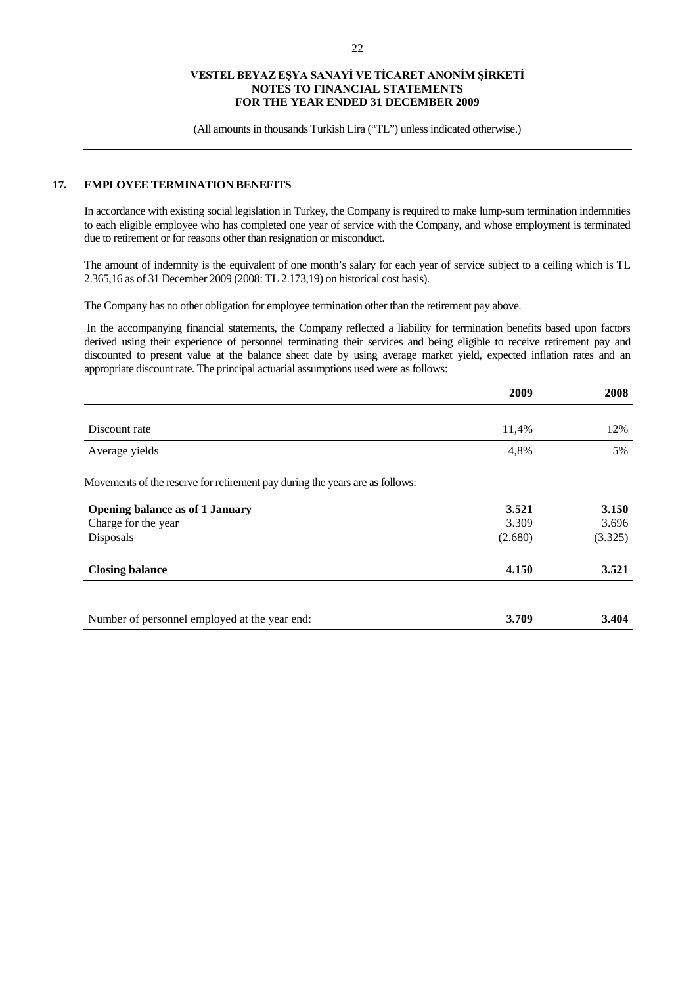(All amounts in thousands Turkish Lira ("TL") unless indicated otherwise.)

#### **17. EMPLOYEE TERMINATION BENEFITS**

In accordance with existing social legislation in Turkey, the Company is required to make lump-sum termination indemnities to each eligible employee who has completed one year of service with the Company, and whose employment is terminated due to retirement or for reasons other than resignation or misconduct.

The amount of indemnity is the equivalent of one month's salary for each year of service subject to a ceiling which is TL 2.365,16 as of 31 December 2009 (2008: TL 2.173,19) on historical cost basis).

The Company has no other obligation for employee termination other than the retirement pay above.

In the accompanying financial statements, the Company reflected a liability for termination benefits based upon factors derived using their experience of personnel terminating their services and being eligible to receive retirement pay and discounted to present value at the balance sheet date by using average market yield, expected inflation rates and an appropriate discount rate. The principal actuarial assumptions used were as follows:

| 2009    | 2008    |
|---------|---------|
|         |         |
|         | 12%     |
| 4,8%    | 5%      |
|         |         |
| 3.521   | 3.150   |
| 3.309   | 3.696   |
| (2.680) | (3.325) |
| 4.150   | 3.521   |
| 3.709   | 3.404   |
|         | 11,4%   |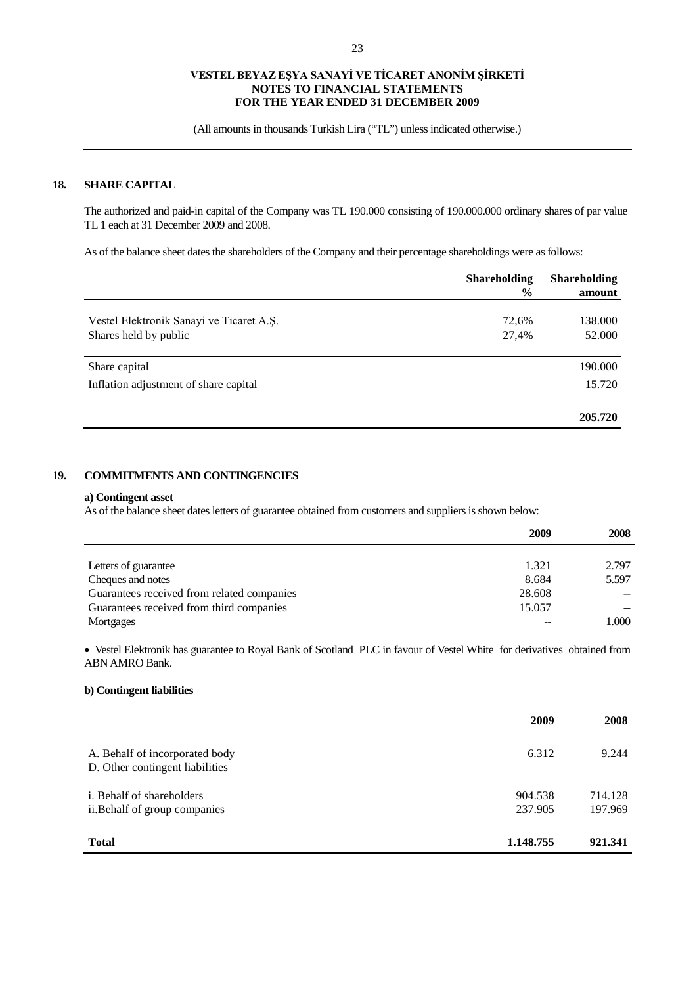(All amounts in thousands Turkish Lira ("TL") unless indicated otherwise.)

### **18. SHARE CAPITAL**

The authorized and paid-in capital of the Company was TL 190.000 consisting of 190.000.000 ordinary shares of par value TL 1 each at 31 December 2009 and 2008.

As of the balance sheet dates the shareholders of the Company and their percentage shareholdings were as follows:

|                                          | <b>Shareholding</b><br>$\frac{0}{0}$ | <b>Shareholding</b><br>amount |
|------------------------------------------|--------------------------------------|-------------------------------|
|                                          |                                      |                               |
| Vestel Elektronik Sanayi ve Ticaret A.S. | 72,6%                                | 138.000                       |
| Shares held by public                    | 27,4%                                | 52.000                        |
| Share capital                            |                                      | 190.000                       |
| Inflation adjustment of share capital    |                                      | 15.720                        |
|                                          |                                      |                               |
|                                          |                                      | 205.720                       |

### **19. COMMITMENTS AND CONTINGENCIES**

#### **a) Contingent asset**

As of the balance sheet dates letters of guarantee obtained from customers and suppliers is shown below:

|                                            | 2009   | 2008  |
|--------------------------------------------|--------|-------|
|                                            |        |       |
| Letters of guarantee                       | 1.321  | 2.797 |
| Cheques and notes                          | 8.684  | 5.597 |
| Guarantees received from related companies | 28.608 |       |
| Guarantees received from third companies   | 15.057 |       |
| Mortgages                                  |        | 1.000 |

• Vestel Elektronik has guarantee to Royal Bank of Scotland PLC in favour of Vestel White for derivatives obtained from ABN AMRO Bank.

## **b) Contingent liabilities**

|                                                                   | 2009               | 2008               |
|-------------------------------------------------------------------|--------------------|--------------------|
| A. Behalf of incorporated body<br>D. Other contingent liabilities | 6.312              | 9.244              |
| <i>i.</i> Behalf of shareholders<br>ii.Behalf of group companies  | 904.538<br>237.905 | 714.128<br>197.969 |
| <b>Total</b>                                                      | 1.148.755          | 921.341            |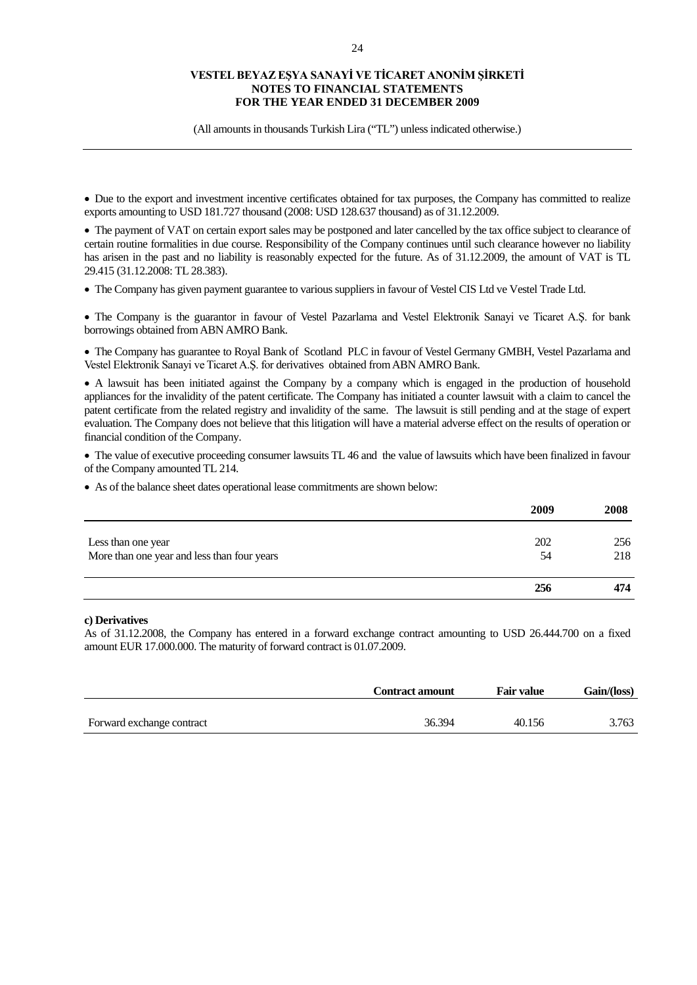(All amounts in thousands Turkish Lira ("TL") unless indicated otherwise.)

• Due to the export and investment incentive certificates obtained for tax purposes, the Company has committed to realize exports amounting to USD 181.727 thousand (2008: USD 128.637 thousand) as of 31.12.2009.

• The payment of VAT on certain export sales may be postponed and later cancelled by the tax office subject to clearance of certain routine formalities in due course. Responsibility of the Company continues until such clearance however no liability has arisen in the past and no liability is reasonably expected for the future. As of 31.12.2009, the amount of VAT is TL 29.415 (31.12.2008: TL 28.383).

• The Company has given payment guarantee to various suppliers in favour of Vestel CIS Ltd ve Vestel Trade Ltd.

• The Company is the guarantor in favour of Vestel Pazarlama and Vestel Elektronik Sanayi ve Ticaret A.Ş. for bank borrowings obtained from ABN AMRO Bank.

• The Company has guarantee to Royal Bank of Scotland PLC in favour of Vestel Germany GMBH, Vestel Pazarlama and Vestel Elektronik Sanayi ve Ticaret A.Ş. for derivatives obtained from ABN AMRO Bank.

• A lawsuit has been initiated against the Company by a company which is engaged in the production of household appliances for the invalidity of the patent certificate. The Company has initiated a counter lawsuit with a claim to cancel the patent certificate from the related registry and invalidity of the same. The lawsuit is still pending and at the stage of expert evaluation. The Company does not believe that this litigation will have a material adverse effect on the results of operation or financial condition of the Company.

• The value of executive proceeding consumer lawsuits TL 46 and the value of lawsuits which have been finalized in favour of the Company amounted TL 214.

• As of the balance sheet dates operational lease commitments are shown below:

|                                             | 2009 | 2008 |
|---------------------------------------------|------|------|
| Less than one year                          | 202  | 256  |
| More than one year and less than four years | 54   | 218  |
|                                             | 256  | 474  |

#### **c) Derivatives**

As of 31.12.2008, the Company has entered in a forward exchange contract amounting to USD 26.444.700 on a fixed amount EUR 17.000.000. The maturity of forward contract is 01.07.2009.

|                           | Contract amount | <b>Fair value</b> | Gain/(loss) |
|---------------------------|-----------------|-------------------|-------------|
|                           |                 |                   |             |
| Forward exchange contract | 36.394          | 40.156            | 3.763       |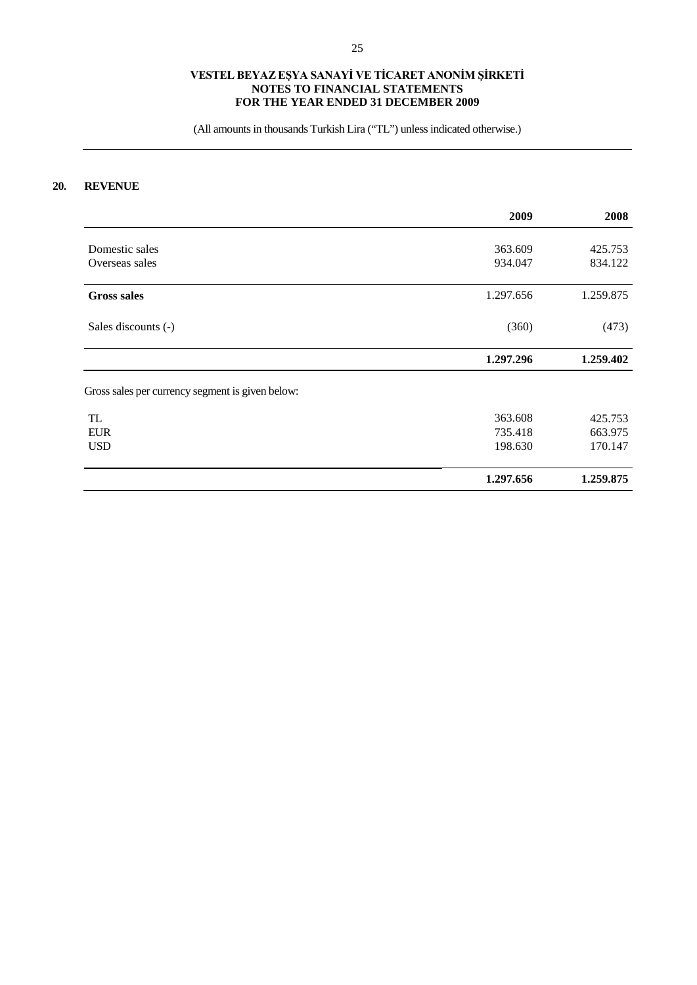(All amounts in thousands Turkish Lira ("TL") unless indicated otherwise.)

# **20. REVENUE**

|                                                  | 2009      | 2008      |
|--------------------------------------------------|-----------|-----------|
| Domestic sales                                   | 363.609   | 425.753   |
| Overseas sales                                   | 934.047   | 834.122   |
| <b>Gross sales</b>                               | 1.297.656 | 1.259.875 |
| Sales discounts (-)                              | (360)     | (473)     |
|                                                  | 1.297.296 | 1.259.402 |
| Gross sales per currency segment is given below: |           |           |
| TL                                               | 363.608   | 425.753   |
| <b>EUR</b>                                       | 735.418   | 663.975   |
| <b>USD</b>                                       | 198.630   | 170.147   |
|                                                  | 1.297.656 | 1.259.875 |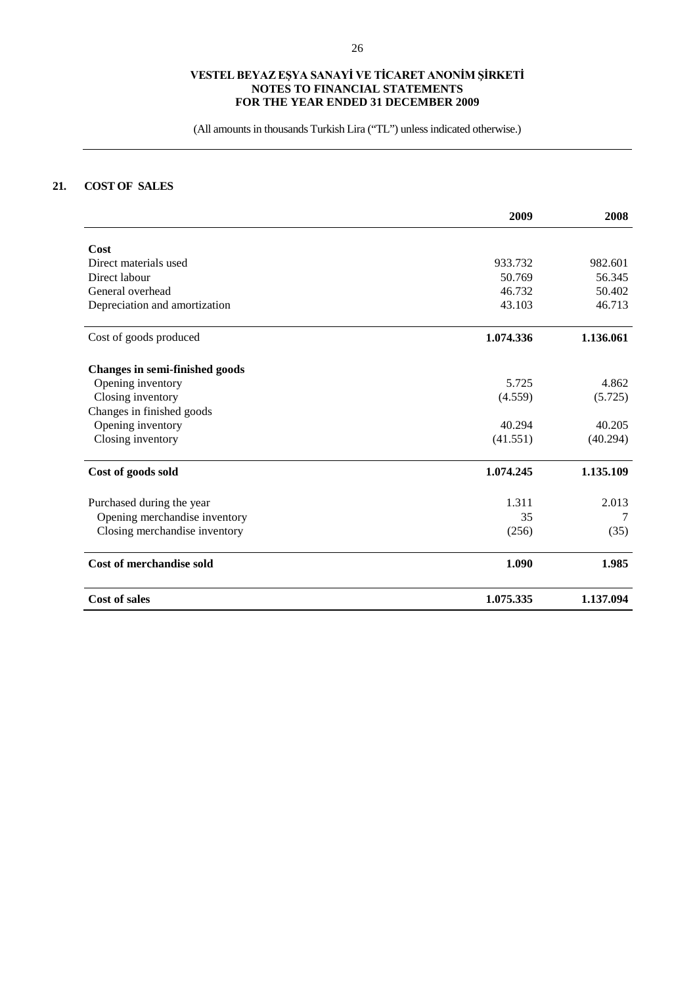(All amounts in thousands Turkish Lira ("TL") unless indicated otherwise.)

# **21. COST OF SALES**

|                                 | 2009      | 2008      |
|---------------------------------|-----------|-----------|
|                                 |           |           |
| Cost                            |           |           |
| Direct materials used           | 933.732   | 982.601   |
| Direct labour                   | 50.769    | 56.345    |
| General overhead                | 46.732    | 50.402    |
| Depreciation and amortization   | 43.103    | 46.713    |
| Cost of goods produced          | 1.074.336 | 1.136.061 |
| Changes in semi-finished goods  |           |           |
| Opening inventory               | 5.725     | 4.862     |
| Closing inventory               | (4.559)   | (5.725)   |
| Changes in finished goods       |           |           |
| Opening inventory               | 40.294    | 40.205    |
| Closing inventory               | (41.551)  | (40.294)  |
| Cost of goods sold              | 1.074.245 | 1.135.109 |
| Purchased during the year       | 1.311     | 2.013     |
| Opening merchandise inventory   | 35        |           |
| Closing merchandise inventory   | (256)     | (35)      |
| <b>Cost of merchandise sold</b> | 1.090     | 1.985     |
| <b>Cost of sales</b>            | 1.075.335 | 1.137.094 |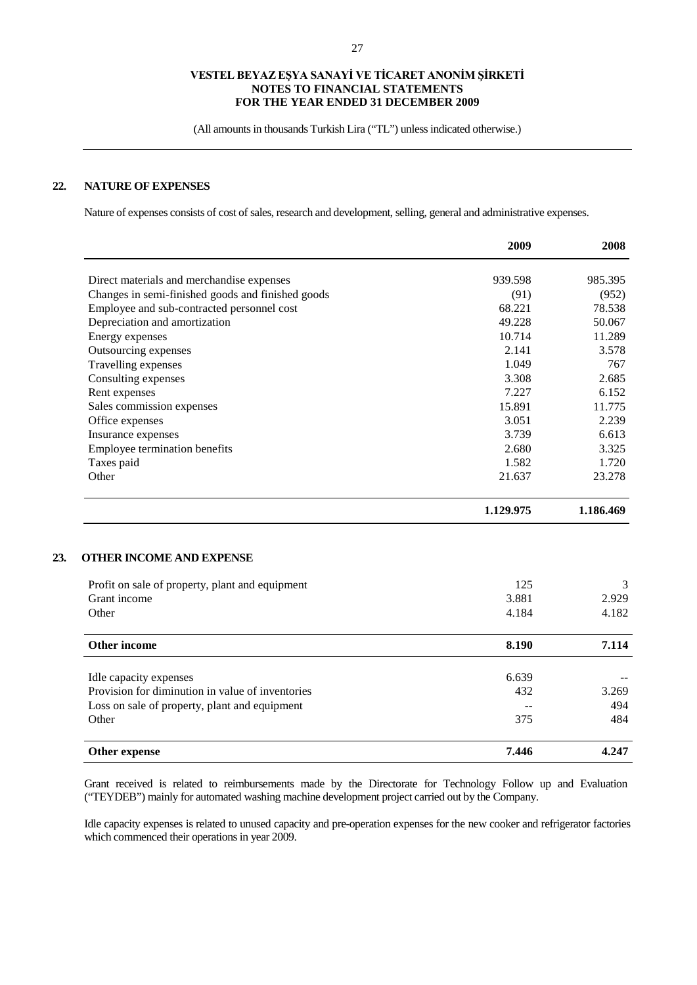(All amounts in thousands Turkish Lira ("TL") unless indicated otherwise.)

### **22. NATURE OF EXPENSES**

Nature of expenses consists of cost of sales, research and development, selling, general and administrative expenses.

|                                                                                                                             | 2009                  | 2008                             |
|-----------------------------------------------------------------------------------------------------------------------------|-----------------------|----------------------------------|
| Direct materials and merchandise expenses                                                                                   | 939.598               | 985.395                          |
| Changes in semi-finished goods and finished goods                                                                           | (91)                  | (952)                            |
| Employee and sub-contracted personnel cost                                                                                  | 68.221                | 78.538                           |
| Depreciation and amortization                                                                                               | 49.228                | 50.067                           |
| Energy expenses                                                                                                             | 10.714                | 11.289                           |
| Outsourcing expenses                                                                                                        | 2.141                 | 3.578                            |
| Travelling expenses                                                                                                         | 1.049                 | 767                              |
| Consulting expenses                                                                                                         | 3.308                 | 2.685                            |
| Rent expenses                                                                                                               | 7.227                 | 6.152                            |
| Sales commission expenses                                                                                                   | 15.891                | 11.775                           |
| Office expenses                                                                                                             | 3.051                 | 2.239                            |
| Insurance expenses                                                                                                          | 3.739                 | 6.613                            |
| Employee termination benefits                                                                                               | 2.680                 | 3.325                            |
| Taxes paid                                                                                                                  | 1.582                 | 1.720                            |
| Other                                                                                                                       | 21.637                | 23.278                           |
|                                                                                                                             |                       |                                  |
|                                                                                                                             | 1.129.975             |                                  |
| Profit on sale of property, plant and equipment<br>Grant income<br>Other                                                    | 125<br>3.881<br>4.184 | 1.186.469<br>3<br>2.929<br>4.182 |
| <b>OTHER INCOME AND EXPENSE</b><br><b>Other income</b>                                                                      | 8.190                 |                                  |
|                                                                                                                             |                       |                                  |
|                                                                                                                             | 6.639<br>432          |                                  |
| Idle capacity expenses<br>Provision for diminution in value of inventories<br>Loss on sale of property, plant and equipment |                       | 7.114<br>3.269<br>494            |

**Other expense 7.446 4.247**

Grant received is related to reimbursements made by the Directorate for Technology Follow up and Evaluation ("TEYDEB") mainly for automated washing machine development project carried out by the Company.

Idle capacity expenses is related to unused capacity and pre-operation expenses for the new cooker and refrigerator factories which commenced their operations in year 2009.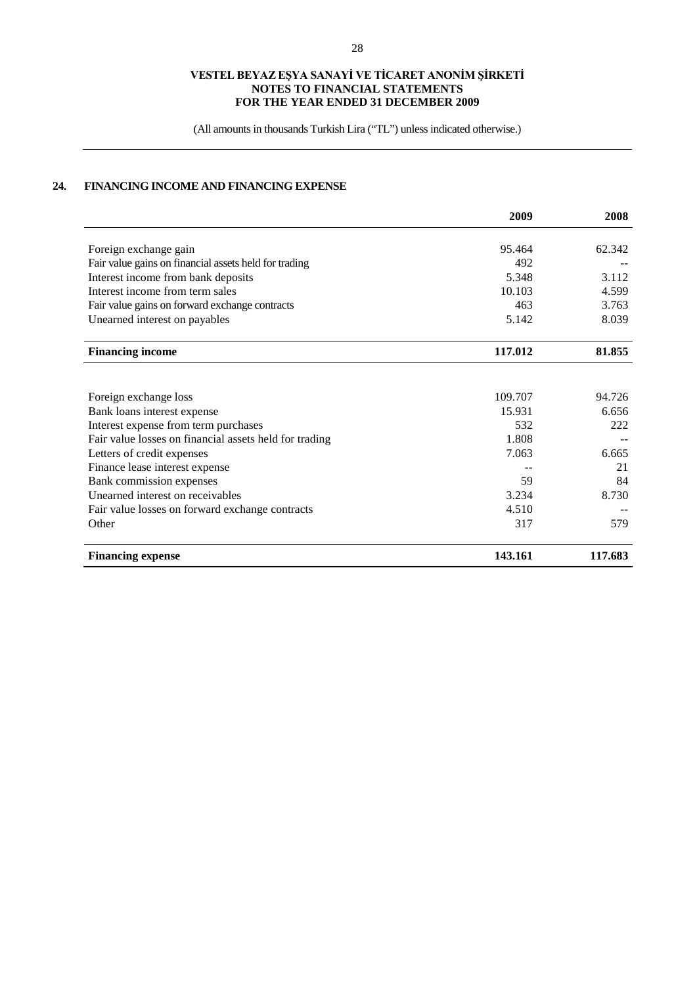(All amounts in thousands Turkish Lira ("TL") unless indicated otherwise.)

# **24. FINANCING INCOME AND FINANCING EXPENSE**

|                                                        | 2009    | 2008    |
|--------------------------------------------------------|---------|---------|
|                                                        |         |         |
| Foreign exchange gain                                  | 95.464  | 62.342  |
| Fair value gains on financial assets held for trading  | 492     |         |
| Interest income from bank deposits                     | 5.348   | 3.112   |
| Interest income from term sales                        | 10.103  | 4.599   |
| Fair value gains on forward exchange contracts         | 463     | 3.763   |
| Unearned interest on payables                          | 5.142   | 8.039   |
| <b>Financing income</b>                                | 117.012 | 81.855  |
|                                                        |         |         |
| Foreign exchange loss                                  | 109.707 | 94.726  |
| Bank loans interest expense                            | 15.931  | 6.656   |
| Interest expense from term purchases                   | 532     | 222     |
| Fair value losses on financial assets held for trading | 1.808   |         |
| Letters of credit expenses                             | 7.063   | 6.665   |
| Finance lease interest expense                         |         | 21      |
| Bank commission expenses                               | 59      | 84      |
| Unearned interest on receivables                       | 3.234   | 8.730   |
| Fair value losses on forward exchange contracts        | 4.510   |         |
| Other                                                  | 317     | 579     |
| <b>Financing expense</b>                               | 143.161 | 117.683 |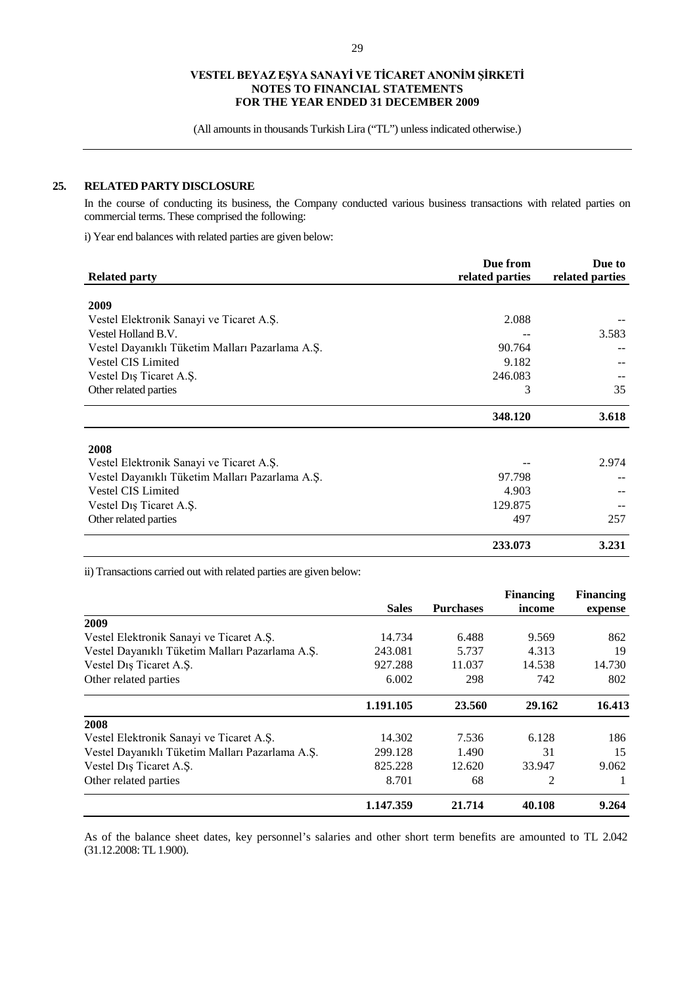(All amounts in thousands Turkish Lira ("TL") unless indicated otherwise.)

### **25. RELATED PARTY DISCLOSURE**

In the course of conducting its business, the Company conducted various business transactions with related parties on commercial terms. These comprised the following:

i) Year end balances with related parties are given below:

|                                                 | Due from        | Due to          |
|-------------------------------------------------|-----------------|-----------------|
| <b>Related party</b>                            | related parties | related parties |
|                                                 |                 |                 |
| 2009                                            |                 |                 |
| Vestel Elektronik Sanayi ve Ticaret A.Ş.        | 2.088           |                 |
| Vestel Holland B.V.                             |                 | 3.583           |
| Vestel Dayanıklı Tüketim Malları Pazarlama A.Ş. | 90.764          |                 |
| <b>Vestel CIS Limited</b>                       | 9.182           |                 |
| Vestel Diş Ticaret A.Ş.                         | 246.083         |                 |
| Other related parties                           | 3               | 35              |
|                                                 | 348.120         | 3.618           |
| 2008                                            |                 |                 |
| Vestel Elektronik Sanayi ve Ticaret A.Ş.        |                 | 2.974           |
| Vestel Dayanıklı Tüketim Malları Pazarlama A.Ş. | 97.798          |                 |
| <b>Vestel CIS Limited</b>                       | 4.903           |                 |
| Vestel Diş Ticaret A.Ş.                         | 129.875         |                 |
| Other related parties                           | 497             | 257             |
|                                                 | 233.073         | 3.231           |

ii) Transactions carried out with related parties are given below:

|                                                 |              |                  | <b>Financing</b> | <b>Financing</b> |
|-------------------------------------------------|--------------|------------------|------------------|------------------|
|                                                 | <b>Sales</b> | <b>Purchases</b> | income           | expense          |
| 2009                                            |              |                  |                  |                  |
| Vestel Elektronik Sanayi ve Ticaret A.S.        | 14.734       | 6.488            | 9.569            | 862              |
| Vestel Dayanıklı Tüketim Malları Pazarlama A.Ş. | 243.081      | 5.737            | 4.313            | 19               |
| Vestel Dis Ticaret A.S.                         | 927.288      | 11.037           | 14.538           | 14.730           |
| Other related parties                           | 6.002        | 298              | 742              | 802              |
|                                                 | 1.191.105    | 23.560           | 29.162           | 16.413           |
| 2008                                            |              |                  |                  |                  |
| Vestel Elektronik Sanayi ve Ticaret A.S.        | 14.302       | 7.536            | 6.128            | 186              |
| Vestel Dayanıklı Tüketim Malları Pazarlama A.S. | 299.128      | 1.490            | 31               | 15               |
| Vestel Dis Ticaret A.S.                         | 825.228      | 12.620           | 33.947           | 9.062            |
| Other related parties                           | 8.701        | 68               | 2                |                  |
|                                                 | 1.147.359    | 21.714           | 40.108           | 9.264            |

As of the balance sheet dates, key personnel's salaries and other short term benefits are amounted to TL 2.042 (31.12.2008: TL 1.900).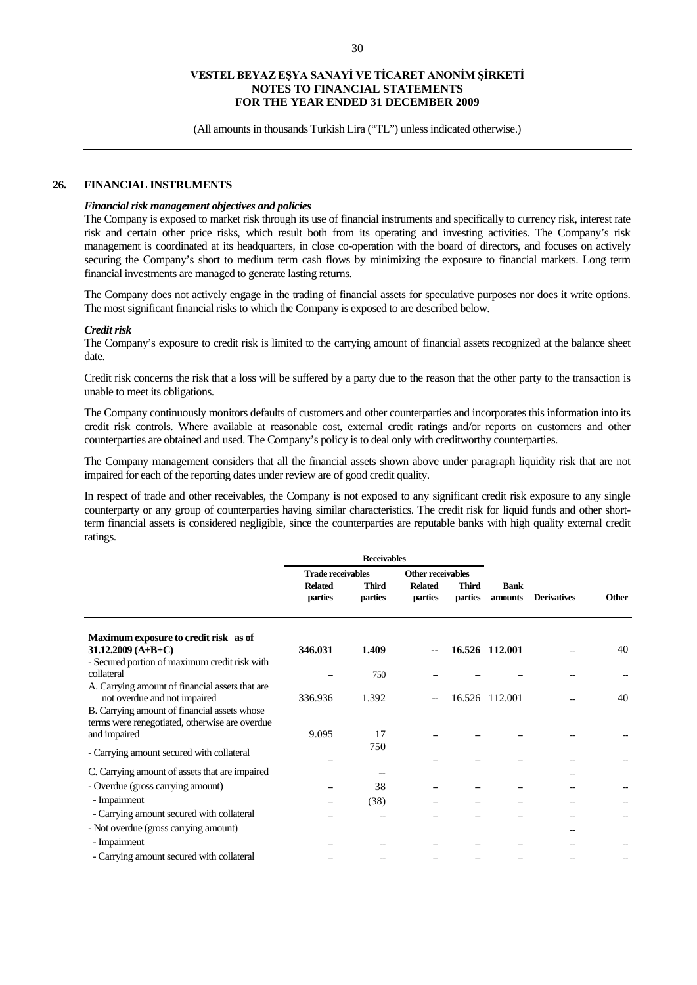(All amounts in thousands Turkish Lira ("TL") unless indicated otherwise.)

#### **26. FINANCIAL INSTRUMENTS**

#### *Financial risk management objectives and policies*

The Company is exposed to market risk through its use of financial instruments and specifically to currency risk, interest rate risk and certain other price risks, which result both from its operating and investing activities. The Company's risk management is coordinated at its headquarters, in close co-operation with the board of directors, and focuses on actively securing the Company's short to medium term cash flows by minimizing the exposure to financial markets. Long term financial investments are managed to generate lasting returns.

The Company does not actively engage in the trading of financial assets for speculative purposes nor does it write options. The most significant financial risks to which the Company is exposed to are described below.

#### *Credit risk*

The Company's exposure to credit risk is limited to the carrying amount of financial assets recognized at the balance sheet date.

Credit risk concerns the risk that a loss will be suffered by a party due to the reason that the other party to the transaction is unable to meet its obligations.

The Company continuously monitors defaults of customers and other counterparties and incorporates this information into its credit risk controls. Where available at reasonable cost, external credit ratings and/or reports on customers and other counterparties are obtained and used. The Company's policy is to deal only with creditworthy counterparties.

The Company management considers that all the financial assets shown above under paragraph liquidity risk that are not impaired for each of the reporting dates under review are of good credit quality.

In respect of trade and other receivables, the Company is not exposed to any significant credit risk exposure to any single counterparty or any group of counterparties having similar characteristics. The credit risk for liquid funds and other shortterm financial assets is considered negligible, since the counterparties are reputable banks with high quality external credit ratings.

|                                                                                                | <b>Receivables</b>        |                         |                           |                         |                        |                    |              |
|------------------------------------------------------------------------------------------------|---------------------------|-------------------------|---------------------------|-------------------------|------------------------|--------------------|--------------|
|                                                                                                | <b>Trade receivables</b>  |                         | Other receivables         |                         |                        |                    |              |
|                                                                                                | <b>Related</b><br>parties | <b>Third</b><br>parties | <b>Related</b><br>parties | <b>Third</b><br>parties | <b>Bank</b><br>amounts | <b>Derivatives</b> | <b>Other</b> |
| Maximum exposure to credit risk as of<br>$31.12.2009(A+B+C)$                                   | 346.031                   | 1.409                   |                           |                         | 16.526 112.001         |                    | 40           |
| - Secured portion of maximum credit risk with                                                  |                           |                         | --                        |                         |                        |                    |              |
| collateral                                                                                     |                           | 750                     |                           |                         |                        |                    |              |
| A. Carrying amount of financial assets that are<br>not overdue and not impaired                | 336.936                   | 1.392                   |                           |                         | 16.526 112.001         |                    | 40           |
| B. Carrying amount of financial assets whose<br>terms were renegotiated, otherwise are overdue |                           |                         |                           |                         |                        |                    |              |
| and impaired                                                                                   | 9.095                     | 17                      |                           |                         |                        |                    |              |
| - Carrying amount secured with collateral                                                      |                           | 750                     |                           |                         |                        |                    |              |
| C. Carrying amount of assets that are impaired                                                 |                           |                         |                           |                         |                        |                    |              |
| - Overdue (gross carrying amount)                                                              |                           | 38                      |                           |                         |                        |                    |              |
| - Impairment                                                                                   |                           | (38)                    |                           |                         |                        |                    |              |
| - Carrying amount secured with collateral                                                      |                           |                         |                           |                         |                        |                    |              |
| - Not overdue (gross carrying amount)                                                          |                           |                         |                           |                         |                        |                    |              |
| - Impairment                                                                                   |                           |                         |                           |                         |                        |                    |              |
| - Carrying amount secured with collateral                                                      |                           |                         |                           |                         |                        |                    |              |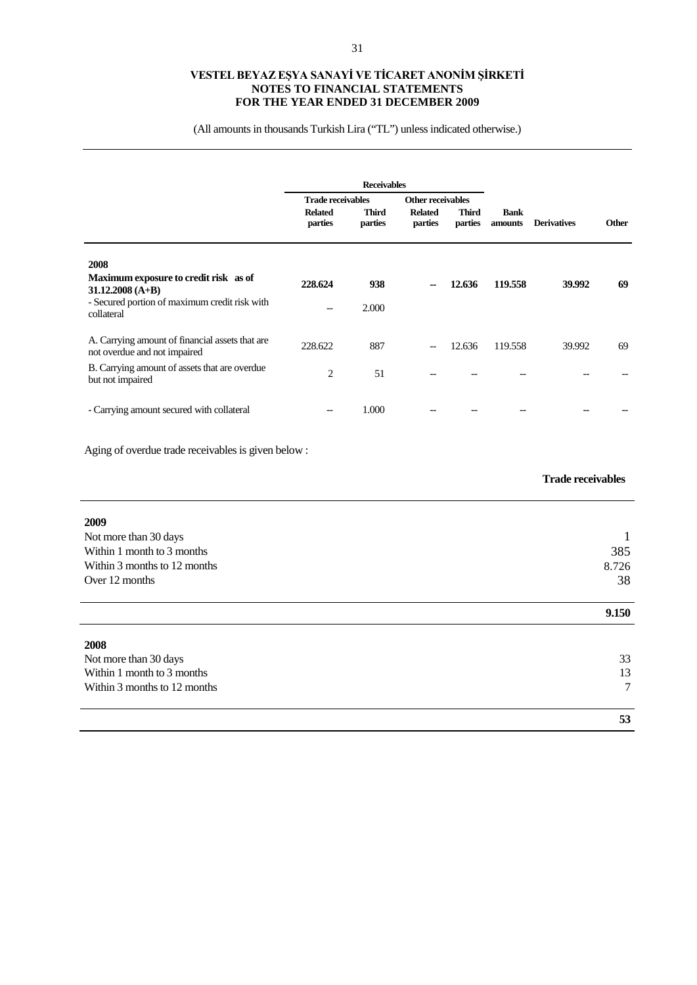(All amounts in thousands Turkish Lira ("TL") unless indicated otherwise.)

|                                                                                   | <b>Receivables</b>                                   |                         |                           |                         |                        |                    |              |
|-----------------------------------------------------------------------------------|------------------------------------------------------|-------------------------|---------------------------|-------------------------|------------------------|--------------------|--------------|
|                                                                                   | <b>Trade receivables</b><br><b>Other receivables</b> |                         |                           |                         |                        |                    |              |
|                                                                                   | <b>Related</b><br>parties                            | <b>Third</b><br>parties | <b>Related</b><br>parties | <b>Third</b><br>parties | <b>Bank</b><br>amounts | <b>Derivatives</b> | <b>Other</b> |
| 2008<br>Maximum exposure to credit risk as of                                     | 228.624                                              | 938                     | --                        | 12.636                  | 119.558                | 39.992             | 69           |
| $31.12.2008 (A+B)$<br>- Secured portion of maximum credit risk with<br>collateral | --                                                   | 2.000                   |                           |                         |                        |                    |              |
| A. Carrying amount of financial assets that are<br>not overdue and not impaired   | 228.622                                              | 887                     | --                        | 12.636                  | 119.558                | 39.992             | 69           |
| B. Carrying amount of assets that are overdue<br>but not impaired                 | 2                                                    | 51                      |                           |                         |                        |                    |              |
| - Carrying amount secured with collateral                                         |                                                      | 1.000                   |                           |                         |                        |                    |              |

Aging of overdue trade receivables is given below :

|                              | <b>Trade receivables</b> |
|------------------------------|--------------------------|
| 2009                         |                          |
| Not more than 30 days        |                          |
| Within 1 month to 3 months   | 385                      |
| Within 3 months to 12 months | 8.726                    |
| Over 12 months               | 38                       |
|                              | 9.150                    |
| 2008                         |                          |
| Not more than 30 days        | 33                       |
| Within 1 month to 3 months   | 13                       |
| Within 3 months to 12 months | 7                        |
|                              | 53                       |
|                              |                          |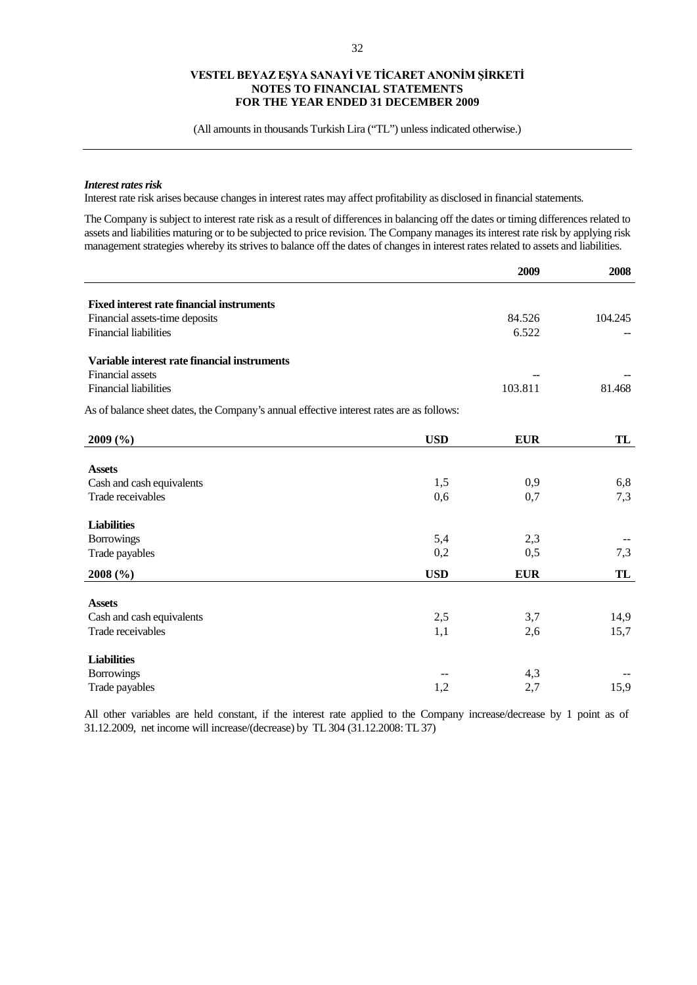(All amounts in thousands Turkish Lira ("TL") unless indicated otherwise.)

#### *Interest rates risk*

Interest rate risk arises because changes in interest rates may affect profitability as disclosed in financial statements.

The Company is subject to interest rate risk as a result of differences in balancing off the dates or timing differences related to assets and liabilities maturing or to be subjected to price revision. The Company manages its interest rate risk by applying risk management strategies whereby its strives to balance off the dates of changes in interest rates related to assets and liabilities.

|                                                                                          |            | 2009       | 2008    |
|------------------------------------------------------------------------------------------|------------|------------|---------|
| <b>Fixed interest rate financial instruments</b>                                         |            |            |         |
| Financial assets-time deposits                                                           |            | 84.526     | 104.245 |
| <b>Financial liabilities</b>                                                             |            | 6.522      |         |
| Variable interest rate financial instruments                                             |            |            |         |
| <b>Financial</b> assets                                                                  |            |            |         |
| <b>Financial liabilities</b>                                                             |            | 103.811    | 81.468  |
| As of balance sheet dates, the Company's annual effective interest rates are as follows: |            |            |         |
| 2009(%)                                                                                  | <b>USD</b> | <b>EUR</b> | TL      |
| <b>Assets</b>                                                                            |            |            |         |
| Cash and cash equivalents                                                                | 1,5        | 0,9        | 6,8     |
| Trade receivables                                                                        | 0,6        | 0,7        | 7,3     |
| <b>Liabilities</b>                                                                       |            |            |         |
| <b>Borrowings</b>                                                                        | 5,4        | 2,3        |         |
| Trade payables                                                                           | 0,2        | 0,5        | 7,3     |
| 2008(%)                                                                                  | <b>USD</b> | <b>EUR</b> | TL      |
| <b>Assets</b>                                                                            |            |            |         |
| Cash and cash equivalents                                                                | 2,5        | 3,7        | 14,9    |
| Trade receivables                                                                        | 1,1        | 2,6        | 15,7    |
| <b>Liabilities</b>                                                                       |            |            |         |
| <b>Borrowings</b>                                                                        |            | 4,3        |         |
| Trade payables                                                                           | 1,2        | 2,7        | 15,9    |
|                                                                                          |            |            |         |

All other variables are held constant, if the interest rate applied to the Company increase/decrease by 1 point as of 31.12.2009, net income will increase/(decrease) by TL 304 (31.12.2008: TL 37)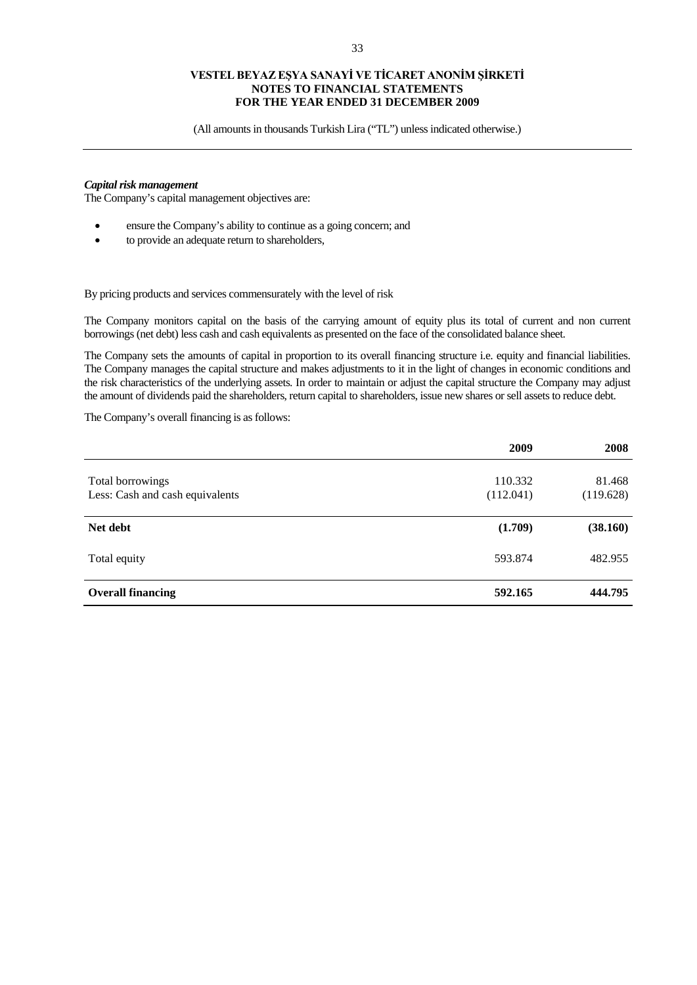(All amounts in thousands Turkish Lira ("TL") unless indicated otherwise.)

#### *Capital risk management*

The Company's capital management objectives are:

- ensure the Company's ability to continue as a going concern; and
- to provide an adequate return to shareholders,

By pricing products and services commensurately with the level of risk

The Company monitors capital on the basis of the carrying amount of equity plus its total of current and non current borrowings (net debt) less cash and cash equivalents as presented on the face of the consolidated balance sheet.

The Company sets the amounts of capital in proportion to its overall financing structure i.e. equity and financial liabilities. The Company manages the capital structure and makes adjustments to it in the light of changes in economic conditions and the risk characteristics of the underlying assets. In order to maintain or adjust the capital structure the Company may adjust the amount of dividends paid the shareholders, return capital to shareholders, issue new shares or sell assets to reduce debt.

The Company's overall financing is as follows:

|                                 | 2009      | 2008      |
|---------------------------------|-----------|-----------|
| Total borrowings                | 110.332   | 81.468    |
| Less: Cash and cash equivalents | (112.041) | (119.628) |
| Net debt                        | (1.709)   | (38.160)  |
| Total equity                    | 593.874   | 482.955   |
| <b>Overall financing</b>        | 592.165   | 444.795   |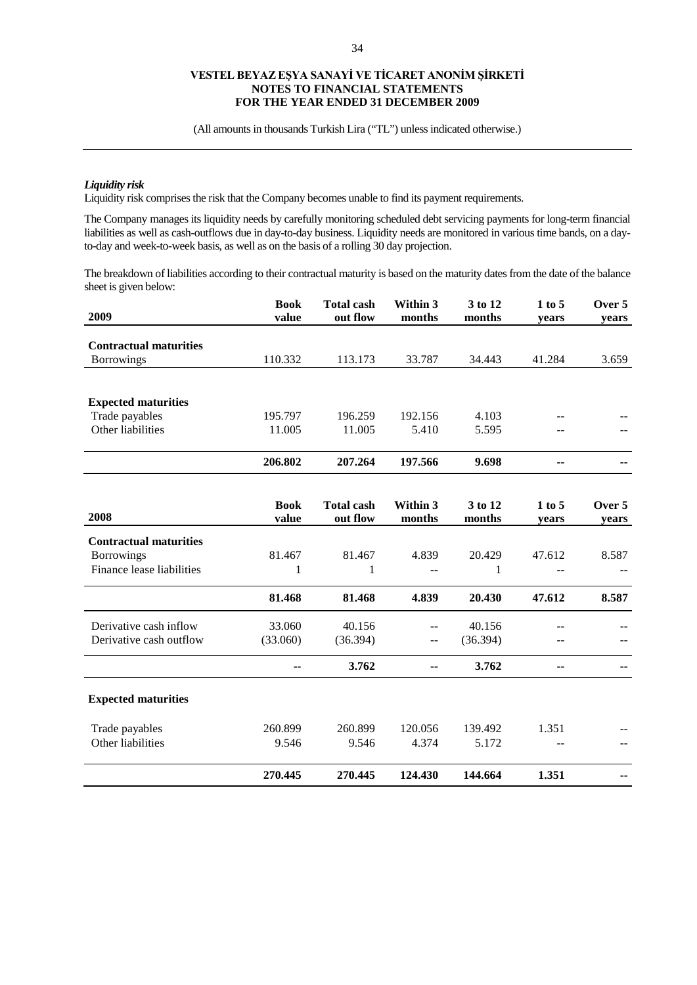(All amounts in thousands Turkish Lira ("TL") unless indicated otherwise.)

#### *Liquidity risk*

Liquidity risk comprises the risk that the Company becomes unable to find its payment requirements.

The Company manages its liquidity needs by carefully monitoring scheduled debt servicing payments for long-term financial liabilities as well as cash-outflows due in day-to-day business. Liquidity needs are monitored in various time bands, on a dayto-day and week-to-week basis, as well as on the basis of a rolling 30 day projection.

The breakdown of liabilities according to their contractual maturity is based on the maturity dates from the date of the balance sheet is given below:

| 2009                          | <b>Book</b><br>value | <b>Total cash</b><br>out flow | Within 3<br>months                            | 3 to 12<br>months | $1$ to $5$<br>years | Over 5<br>years |
|-------------------------------|----------------------|-------------------------------|-----------------------------------------------|-------------------|---------------------|-----------------|
|                               |                      |                               |                                               |                   |                     |                 |
| <b>Contractual maturities</b> |                      |                               |                                               |                   |                     |                 |
| <b>Borrowings</b>             | 110.332              | 113.173                       | 33.787                                        | 34.443            | 41.284              | 3.659           |
|                               |                      |                               |                                               |                   |                     |                 |
| <b>Expected maturities</b>    |                      |                               |                                               |                   |                     |                 |
| Trade payables                | 195.797              | 196.259                       | 192.156                                       | 4.103             |                     |                 |
| Other liabilities             | 11.005               | 11.005                        | 5.410                                         | 5.595             |                     |                 |
|                               |                      |                               |                                               |                   |                     |                 |
|                               | 206.802              | 207.264                       | 197.566                                       | 9.698             | --                  |                 |
|                               |                      |                               |                                               |                   |                     |                 |
|                               | <b>Book</b>          | <b>Total cash</b>             | Within 3                                      | 3 to 12           | 1 to 5              | Over 5          |
| 2008                          | value                | out flow                      | months                                        | months            | years               | years           |
| <b>Contractual maturities</b> |                      |                               |                                               |                   |                     |                 |
| <b>Borrowings</b>             | 81.467               | 81.467                        | 4.839                                         | 20.429            | 47.612              | 8.587           |
| Finance lease liabilities     | 1                    | 1                             |                                               | 1                 |                     |                 |
|                               | 81.468               | 81.468                        | 4.839                                         | 20.430            | 47.612              | 8.587           |
| Derivative cash inflow        | 33.060               | 40.156                        | $-$                                           | 40.156            |                     |                 |
| Derivative cash outflow       | (33.060)             | (36.394)                      | $\mathord{\hspace{1pt}\text{--}\hspace{1pt}}$ | (36.394)          | $-$                 |                 |
|                               | --                   | 3.762                         | ۰.                                            | 3.762             | ۰.                  | --              |
|                               |                      |                               |                                               |                   |                     |                 |
| <b>Expected maturities</b>    |                      |                               |                                               |                   |                     |                 |
| Trade payables                | 260.899              | 260.899                       | 120.056                                       | 139.492           | 1.351               |                 |
| Other liabilities             | 9.546                | 9.546                         | 4.374                                         | 5.172             |                     | $\sim$          |
|                               | 270.445              | 270.445                       | 124.430                                       | 144.664           | 1.351               | --              |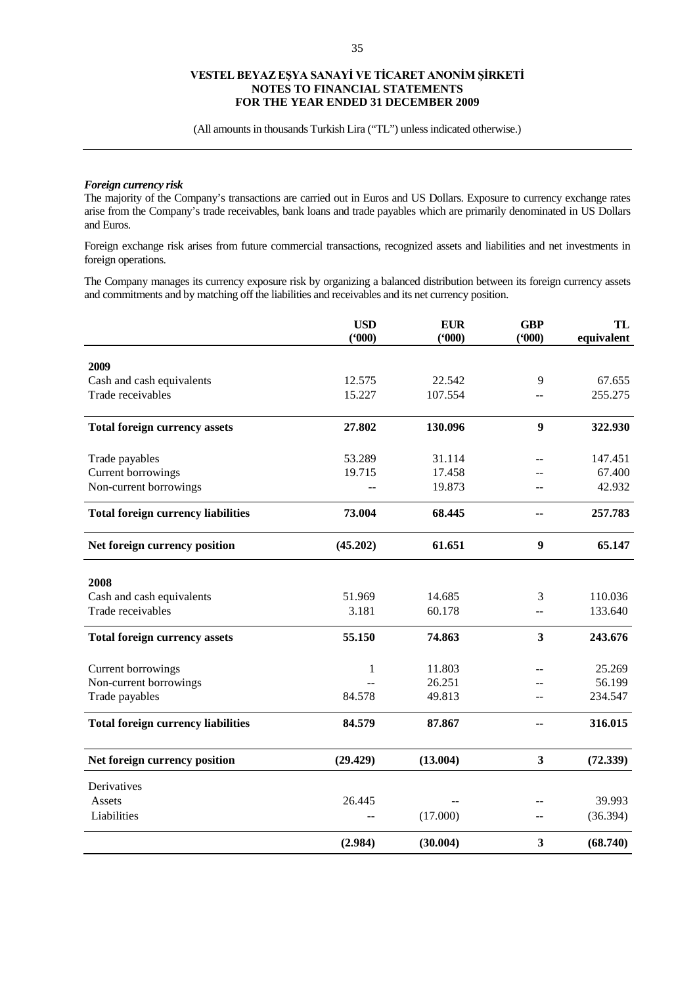(All amounts in thousands Turkish Lira ("TL") unless indicated otherwise.)

### *Foreign currency risk*

The majority of the Company's transactions are carried out in Euros and US Dollars. Exposure to currency exchange rates arise from the Company's trade receivables, bank loans and trade payables which are primarily denominated in US Dollars and Euros.

Foreign exchange risk arises from future commercial transactions, recognized assets and liabilities and net investments in foreign operations.

The Company manages its currency exposure risk by organizing a balanced distribution between its foreign currency assets and commitments and by matching off the liabilities and receivables and its net currency position.

|                                           | <b>USD</b><br>(900) | <b>EUR</b><br>(900) | <b>GBP</b><br>(900)     | TL<br>equivalent |
|-------------------------------------------|---------------------|---------------------|-------------------------|------------------|
| 2009                                      |                     |                     |                         |                  |
| Cash and cash equivalents                 | 12.575              | 22.542              | 9                       | 67.655           |
| Trade receivables                         | 15.227              | 107.554             |                         | 255.275          |
| <b>Total foreign currency assets</b>      | 27.802              | 130.096             | 9                       | 322.930          |
| Trade payables                            | 53.289              | 31.114              |                         | 147.451          |
| Current borrowings                        | 19.715              | 17.458              |                         | 67.400           |
| Non-current borrowings                    | $-$                 | 19.873              | $-$                     | 42.932           |
| <b>Total foreign currency liabilities</b> | 73.004              | 68.445              | --                      | 257.783          |
| Net foreign currency position             | (45.202)            | 61.651              | $\boldsymbol{9}$        | 65.147           |
|                                           |                     |                     |                         |                  |
| 2008<br>Cash and cash equivalents         | 51.969              | 14.685              | 3                       | 110.036          |
| Trade receivables                         | 3.181               | 60.178              | $-$                     | 133.640          |
| <b>Total foreign currency assets</b>      | 55.150              | 74.863              | $\overline{\mathbf{3}}$ | 243.676          |
| Current borrowings                        | 1                   | 11.803              |                         | 25.269           |
| Non-current borrowings                    |                     | 26.251              |                         | 56.199           |
| Trade payables                            | 84.578              | 49.813              |                         | 234.547          |
| <b>Total foreign currency liabilities</b> | 84.579              | 87.867              | --                      | 316.015          |
| Net foreign currency position             | (29.429)            | (13.004)            | $\overline{\mathbf{3}}$ | (72.339)         |
| Derivatives                               |                     |                     |                         |                  |
| Assets                                    | 26.445              |                     |                         | 39.993           |
| Liabilities                               | $-$                 | (17.000)            | $-$                     | (36.394)         |
|                                           | (2.984)             | (30.004)            | 3                       | (68.740)         |